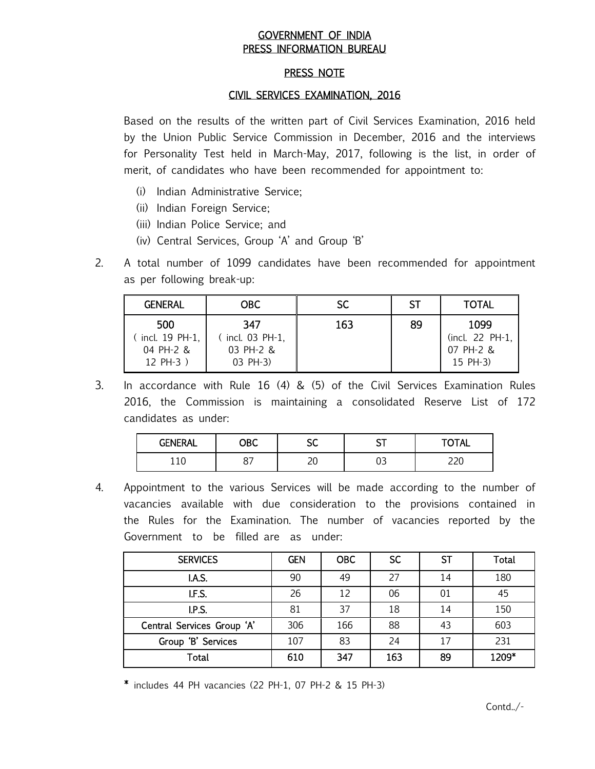# GOVERNMENT OF INDIA PRESS INFORMATION BUREAU

# PRESS NOTE

# CIVIL SERVICES EXAMINATION, 2016

Based on the results of the written part of Civil Services Examination, 2016 held by the Union Public Service Commission in December, 2016 and the interviews for Personality Test held in March-May, 2017, following is the list, in order of merit, of candidates who have been recommended for appointment to:

- (i) Indian Administrative Service;
- (ii) Indian Foreign Service;
- (iii) Indian Police Service; and
- (iv) Central Services, Group 'A' and Group 'B'
- 2. A total number of 1099 candidates have been recommended for appointment as per following break-up:

| <b>GENERAL</b> | OBC.            | SC. | -ST | <b>TOTAL</b>    |
|----------------|-----------------|-----|-----|-----------------|
| 500            | 347             | 163 | 89  | 1099            |
| incl. 19 PH-1, | (incl. 03 PH-1, |     |     | (incl. 22 PH-1, |
| $04$ PH-2 &    | 03 PH-2 &       |     |     | 07 PH-2 &       |
| $12 PH-3)$     | 03 PH-3)        |     |     | 15 PH-3)        |

3. In accordance with Rule 16 (4) & (5) of the Civil Services Examination Rules 2016, the Commission is maintaining a consolidated Reserve List of 172 candidates as under:

| <b>GENERAL</b> | ОВС                           | ~~<br>υv | ~~<br>ັັ | <b>TOTAL</b> |
|----------------|-------------------------------|----------|----------|--------------|
| 110            | $\overline{\phantom{0}}$<br>ິ | 10<br>ີ  | ັບ       | ົ<br>__      |

4. Appointment to the various Services will be made according to the number of vacancies available with due consideration to the provisions contained in the Rules for the Examination. The number of vacancies reported by the Government to be filled are as under:

| <b>SERVICES</b>            | <b>GEN</b> | <b>OBC</b> | <b>SC</b> | ST | Total |
|----------------------------|------------|------------|-----------|----|-------|
| I.A.S.                     | 90         | 49         | 27        | 14 | 180   |
| I.F.S.                     | 26         | 12         | 06        | 01 | 45    |
| I.P.S.                     | 81         | 37         | 18        | 14 | 150   |
| Central Services Group 'A' | 306        | 166        | 88        | 43 | 603   |
| Group 'B' Services         | 107        | 83         | 24        | 17 | 231   |
| <b>Total</b>               | 610        | 347        | 163       | 89 | 1209* |

\* includes 44 PH vacancies (22 PH-1, 07 PH-2 & 15 PH-3)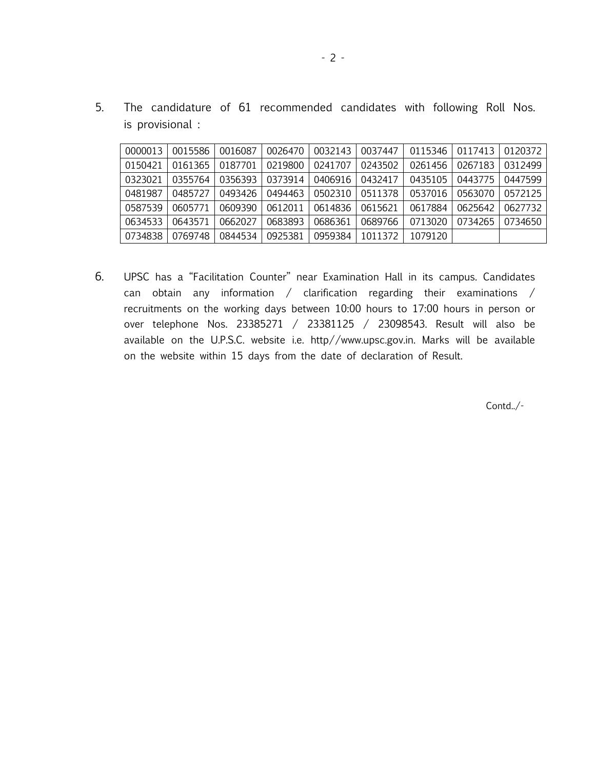5. The candidature of 61 recommended candidates with following Roll Nos. is provisional :

| 0000013 | 0015586 | 0016087 | 0026470 | 0032143 | 0037447 | 0115346 | 0117413 | 0120372 |
|---------|---------|---------|---------|---------|---------|---------|---------|---------|
| 0150421 | 0161365 | 0187701 | 0219800 | 0241707 | 0243502 | 0261456 | 0267183 | 0312499 |
| 0323021 | 0355764 | 0356393 | 0373914 | 0406916 | 0432417 | 0435105 | 0443775 | 0447599 |
| 0481987 | 0485727 | 0493426 | 0494463 | 0502310 | 0511378 | 0537016 | 0563070 | 0572125 |
| 0587539 | 0605771 | 0609390 | 0612011 | 0614836 | 0615621 | 0617884 | 0625642 | 0627732 |
| 0634533 | 0643571 | 0662027 | 0683893 | 0686361 | 0689766 | 0713020 | 0734265 | 0734650 |
| 0734838 | 0769748 | 0844534 | 0925381 | 0959384 | 1011372 | 1079120 |         |         |

6. UPSC has a "Facilitation Counter" near Examination Hall in its campus. Candidates can obtain any information / clarification regarding their examinations / recruitments on the working days between 10:00 hours to 17:00 hours in person or over telephone Nos. 23385271 / 23381125 / 23098543. Result will also be available on the U.P.S.C. website i.e. http//www.upsc.gov.in. Marks will be available on the website within 15 days from the date of declaration of Result.

Contd../-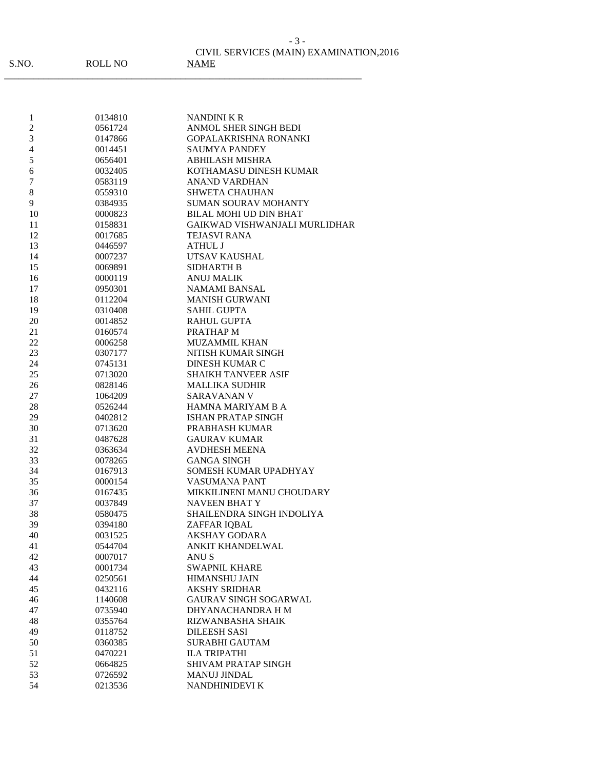S.NO. ROLL NO NAME

\_\_\_\_\_\_\_\_\_\_\_\_\_\_\_\_\_\_\_\_\_\_\_\_\_\_\_\_\_\_\_\_\_\_\_\_\_\_\_\_\_\_\_\_\_\_\_\_\_\_\_\_\_\_\_\_\_\_\_\_\_\_\_\_\_\_\_\_\_\_\_\_\_

 0134810 NANDINI K R 0561724 ANMOL SHER SINGH BEDI 0147866 GOPALAKRISHNA RONANKI 4 0014451 SAUMYA PANDEY<br>5 0656401 ABHILASH MISHR ABHILASH MISHRA 0032405 KOTHAMASU DINESH KUMAR 0583119 ANAND VARDHAN 8 0559310 SHWETA CHAUHAN 9 0384935 SUMAN SOURAV MOHANTY 0000823 BILAL MOHI UD DIN BHAT 0158831 GAIKWAD VISHWANJALI MURLIDHAR 0017685 TEJASVI RANA 0446597 ATHUL J 0007237 UTSAV KAUSHAL 0069891 SIDHARTH B 0000119 ANUJ MALIK 0950301 NAMAMI BANSAL 0112204 MANISH GURWANI 0310408 SAHIL GUPTA 0014852 RAHUL GUPTA 0160574 PRATHAP M 0006258 MUZAMMIL KHAN 0307177 NITISH KUMAR SINGH 0745131 DINESH KUMAR C 25 0713020 SHAIKH TANVEER ASIF<br>26 0828146 MALLIKA SUDHIR 0828146 MALLIKA SUDHIR 1064209 SARAVANAN V 0526244 HAMNA MARIYAM B A 0402812 ISHAN PRATAP SINGH 0713620 PRABHASH KUMAR 0487628 GAURAV KUMAR 32 0363634 AVDHESH MEENA<br>33 0078265 GANGA SINGH 0078265 GANGA SINGH 0167913 SOMESH KUMAR UPADHYAY 0000154 VASUMANA PANT 0167435 MIKKILINENI MANU CHOUDARY 0037849 NAVEEN BHAT Y 0580475 SHAILENDRA SINGH INDOLIYA 0394180 ZAFFAR IQBAL 0031525 AKSHAY GODARA 0544704 ANKIT KHANDELWAL 0007017 ANU S 43 0001734 SWAPNIL KHARE<br>44 0250561 HIMANSHU JAIN 0250561 HIMANSHU JAIN 0432116 AKSHY SRIDHAR 1140608 GAURAV SINGH SOGARWAL 0735940 DHYANACHANDRA H M 0355764 RIZWANBASHA SHAIK 0118752 DILEESH SASI 0360385 SURABHI GAUTAM 0470221 ILA TRIPATHI 0664825 SHIVAM PRATAP SINGH 0726592 MANUJ JINDAL 0213536 NANDHINIDEVI K

### CIVIL SERVICES (MAIN) EXAMINATION,2016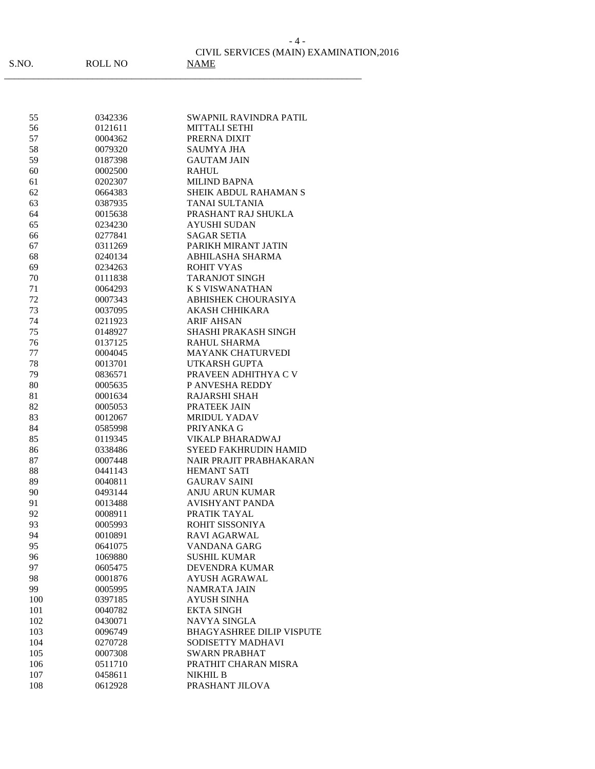|--|

## CIVIL SERVICES (MAIN) EXAMINATION,2016

| 55  | 0342336 | SWAPNIL RAVINDRA PATIL           |
|-----|---------|----------------------------------|
| 56  | 0121611 | <b>MITTALI SETHI</b>             |
| 57  | 0004362 | PRERNA DIXIT                     |
| 58  | 0079320 | <b>SAUMYA JHA</b>                |
| 59  | 0187398 | <b>GAUTAM JAIN</b>               |
| 60  | 0002500 | <b>RAHUL</b>                     |
| 61  | 0202307 | <b>MILIND BAPNA</b>              |
| 62  | 0664383 | <b>SHEIK ABDUL RAHAMAN S</b>     |
| 63  | 0387935 | TANAI SULTANIA                   |
| 64  | 0015638 | PRASHANT RAJ SHUKLA              |
| 65  | 0234230 | <b>AYUSHI SUDAN</b>              |
| 66  | 0277841 | <b>SAGAR SETIA</b>               |
| 67  | 0311269 | PARIKH MIRANT JATIN              |
| 68  | 0240134 | ABHILASHA SHARMA                 |
| 69  | 0234263 | <b>ROHIT VYAS</b>                |
| 70  | 0111838 | <b>TARANJOT SINGH</b>            |
| 71  | 0064293 | <b>K S VISWANATHAN</b>           |
| 72  | 0007343 | <b>ABHISHEK CHOURASIYA</b>       |
| 73  | 0037095 | AKASH CHHIKARA                   |
| 74  | 0211923 | <b>ARIF AHSAN</b>                |
| 75  | 0148927 | <b>SHASHI PRAKASH SINGH</b>      |
| 76  | 0137125 | RAHUL SHARMA                     |
| 77  | 0004045 | MAYANK CHATURVEDI                |
| 78  | 0013701 | UTKARSH GUPTA                    |
| 79  | 0836571 | PRAVEEN ADHITHYA C V             |
| 80  | 0005635 | P ANVESHA REDDY                  |
| 81  | 0001634 | RAJARSHI SHAH                    |
| 82  | 0005053 | PRATEEK JAIN                     |
| 83  | 0012067 | <b>MRIDUL YADAV</b>              |
| 84  | 0585998 | PRIYANKA G                       |
| 85  | 0119345 | VIKALP BHARADWAJ                 |
| 86  | 0338486 | SYEED FAKHRUDIN HAMID            |
| 87  | 0007448 | NAIR PRAJIT PRABHAKARAN          |
| 88  | 0441143 | <b>HEMANT SATI</b>               |
| 89  | 0040811 | <b>GAURAV SAINI</b>              |
| 90  | 0493144 | <b>ANJU ARUN KUMAR</b>           |
| 91  | 0013488 | AVISHYANT PANDA                  |
| 92  | 0008911 | PRATIK TAYAL                     |
| 93  | 0005993 | ROHIT SISSONIYA                  |
| 94  | 0010891 | RAVI AGARWAL                     |
| 95  | 0641075 | VANDANA GARG                     |
| 96  | 1069880 | <b>SUSHIL KUMAR</b>              |
| 97  | 0605475 | <b>DEVENDRA KUMAR</b>            |
| 98  | 0001876 | AYUSH AGRAWAL                    |
| 99  | 0005995 | <b>NAMRATA JAIN</b>              |
| 100 | 0397185 | <b>AYUSH SINHA</b>               |
| 101 | 0040782 | <b>EKTA SINGH</b>                |
| 102 | 0430071 | NAVYA SINGLA                     |
| 103 | 0096749 | <b>BHAGYASHREE DILIP VISPUTE</b> |
| 104 | 0270728 | SODISETTY MADHAVI                |
| 105 | 0007308 | <b>SWARN PRABHAT</b>             |
| 106 | 0511710 | PRATHIT CHARAN MISRA             |
| 107 | 0458611 | NIKHIL B                         |
| 108 | 0612928 | PRASHANT JILOVA                  |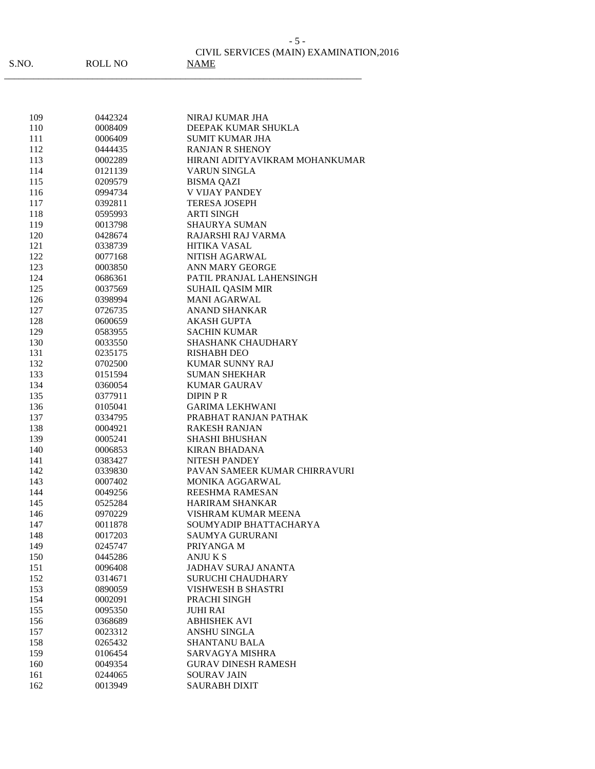|       |                | CIVIL SERVICES (MAIN) EXAMINATION.2016 |
|-------|----------------|----------------------------------------|
| S.NO. | <b>ROLL NO</b> | <b>NAME</b>                            |

| 109 | 0442324 | NIRAJ KUMAR JHA                |
|-----|---------|--------------------------------|
| 110 | 0008409 | DEEPAK KUMAR SHUKLA            |
| 111 | 0006409 | SUMIT KUMAR JHA                |
| 112 | 0444435 | <b>RANJAN R SHENOY</b>         |
| 113 | 0002289 | HIRANI ADITYAVIKRAM MOHANKUMAR |
| 114 | 0121139 | <b>VARUN SINGLA</b>            |
| 115 | 0209579 | <b>BISMA QAZI</b>              |
| 116 | 0994734 | <b>V VIJAY PANDEY</b>          |
| 117 | 0392811 | <b>TERESA JOSEPH</b>           |
| 118 | 0595993 | <b>ARTI SINGH</b>              |
| 119 | 0013798 | <b>SHAURYA SUMAN</b>           |
| 120 | 0428674 | RAJARSHI RAJ VARMA             |
| 121 | 0338739 | <b>HITIKA VASAL</b>            |
| 122 | 0077168 | NITISH AGARWAL                 |
| 123 | 0003850 | ANN MARY GEORGE                |
| 124 | 0686361 | PATIL PRANJAL LAHENSINGH       |
| 125 | 0037569 | <b>SUHAIL QASIM MIR</b>        |
| 126 | 0398994 | <b>MANI AGARWAL</b>            |
| 127 | 0726735 | <b>ANAND SHANKAR</b>           |
| 128 | 0600659 | <b>AKASH GUPTA</b>             |
| 129 | 0583955 | <b>SACHIN KUMAR</b>            |
| 130 | 0033550 | SHASHANK CHAUDHARY             |
| 131 | 0235175 | <b>RISHABH DEO</b>             |
| 132 | 0702500 | <b>KUMAR SUNNY RAJ</b>         |
| 133 | 0151594 | <b>SUMAN SHEKHAR</b>           |
| 134 | 0360054 | <b>KUMAR GAURAV</b>            |
| 135 | 0377911 | <b>DIPIN PR</b>                |
| 136 | 0105041 | GARIMA LEKHWANI                |
| 137 | 0334795 | PRABHAT RANJAN PATHAK          |
| 138 | 0004921 | <b>RAKESH RANJAN</b>           |
| 139 | 0005241 | <b>SHASHI BHUSHAN</b>          |
| 140 | 0006853 | <b>KIRAN BHADANA</b>           |
| 141 | 0383427 | <b>NITESH PANDEY</b>           |
| 142 | 0339830 | PAVAN SAMEER KUMAR CHIRRAVURI  |
| 143 | 0007402 | <b>MONIKA AGGARWAL</b>         |
| 144 | 0049256 | REESHMA RAMESAN                |
| 145 | 0525284 | <b>HARIRAM SHANKAR</b>         |
| 146 | 0970229 | VISHRAM KUMAR MEENA            |
| 147 | 0011878 | SOUMYADIP BHATTACHARYA         |
| 148 | 0017203 | <b>SAUMYA GURURANI</b>         |
| 149 | 0245747 | PRIYANGA M                     |
| 150 | 0445286 | ANJU K S                       |
| 151 | 0096408 | <b>JADHAV SURAJ ANANTA</b>     |
| 152 | 0314671 | <b>SURUCHI CHAUDHARY</b>       |
| 153 | 0890059 | <b>VISHWESH B SHASTRI</b>      |
| 154 | 0002091 | PRACHI SINGH                   |
| 155 | 0095350 | <b>JUHI RAI</b>                |
| 156 | 0368689 | <b>ABHISHEK AVI</b>            |
| 157 | 0023312 | ANSHU SINGLA                   |
| 158 | 0265432 | <b>SHANTANU BALA</b>           |
| 159 | 0106454 | SARVAGYA MISHRA                |
| 160 | 0049354 | <b>GURAV DINESH RAMESH</b>     |
| 161 | 0244065 | <b>SOURAV JAIN</b>             |
| 162 | 0013949 | <b>SAURABH DIXIT</b>           |
|     |         |                                |

- 5 -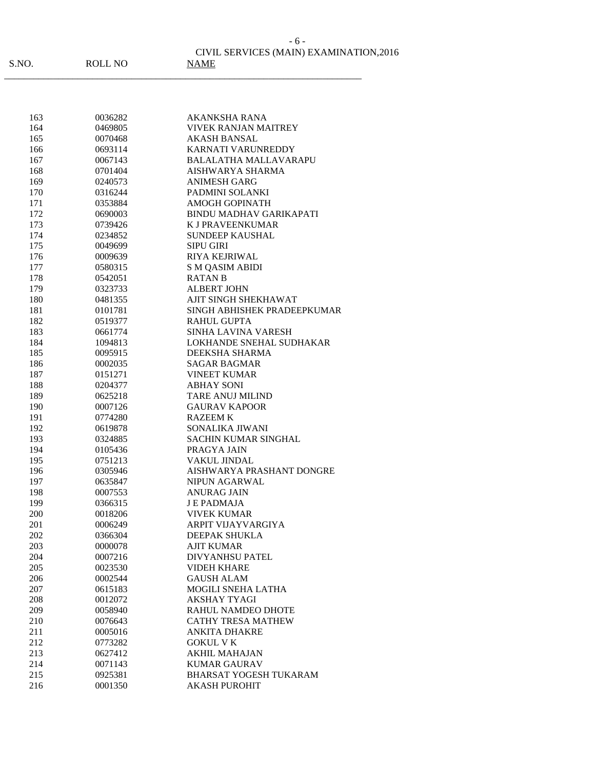\_\_\_\_\_\_\_\_\_\_\_\_\_\_\_\_\_\_\_\_\_\_\_\_\_\_\_\_\_\_\_\_\_\_\_\_\_\_\_\_\_\_\_\_\_\_\_\_\_\_\_\_\_\_\_\_\_\_\_\_\_\_\_\_\_\_\_\_\_\_\_\_\_

| 163        | 0036282            | AKANKSHA RANA                  |
|------------|--------------------|--------------------------------|
| 164        | 0469805            | <b>VIVEK RANJAN MAITREY</b>    |
| 165        | 0070468            | AKASH BANSAL                   |
| 166        | 0693114            | KARNATI VARUNREDDY             |
| 167        | 0067143            | <b>BALALATHA MALLAVARAPU</b>   |
| 168        | 0701404            | AISHWARYA SHARMA               |
| 169        | 0240573            | <b>ANIMESH GARG</b>            |
| 170        | 0316244            | PADMINI SOLANKI                |
| 171        | 0353884            | AMOGH GOPINATH                 |
| 172        | 0690003            | <b>BINDU MADHAV GARIKAPATI</b> |
| 173        | 0739426            | <b>K J PRAVEENKUMAR</b>        |
| 174        | 0234852            | <b>SUNDEEP KAUSHAL</b>         |
| 175        | 0049699            | <b>SIPU GIRI</b>               |
| 176        | 0009639            | <b>RIYA KEJRIWAL</b>           |
| 177        | 0580315            | <b>S M QASIM ABIDI</b>         |
| 178        | 0542051            | <b>RATAN B</b>                 |
| 179        | 0323733            | <b>ALBERT JOHN</b>             |
| 180        | 0481355            | AJIT SINGH SHEKHAWAT           |
| 181        | 0101781            | SINGH ABHISHEK PRADEEPKUMAR    |
| 182        | 0519377            | <b>RAHUL GUPTA</b>             |
| 183        | 0661774            | <b>SINHA LAVINA VARESH</b>     |
| 184        | 1094813            | LOKHANDE SNEHAL SUDHAKAR       |
| 185        | 0095915            | DEEKSHA SHARMA                 |
| 186        | 0002035            | <b>SAGAR BAGMAR</b>            |
| 187        | 0151271            | <b>VINEET KUMAR</b>            |
|            |                    | <b>ABHAY SONI</b>              |
| 188<br>189 | 0204377<br>0625218 | TARE ANUJ MILIND               |
|            |                    | <b>GAURAV KAPOOR</b>           |
| 190        | 0007126            |                                |
| 191        | 0774280            | <b>RAZEEM K</b>                |
| 192        | 0619878            | SONALIKA JIWANI                |
| 193        | 0324885            | <b>SACHIN KUMAR SINGHAL</b>    |
| 194        | 0105436            | PRAGYA JAIN                    |
| 195        | 0751213            | <b>VAKUL JINDAL</b>            |
| 196        | 0305946            | AISHWARYA PRASHANT DONGRE      |
| 197        | 0635847            | <b>NIPUN AGARWAL</b>           |
| 198        | 0007553            | ANURAG JAIN                    |
| 199        | 0366315            | <b>JE PADMAJA</b>              |
| 200        | 0018206            | <b>VIVEK KUMAR</b>             |
| 201        | 0006249            | ARPIT VIJAYVARGIYA             |
| 202        | 0366304            | DEEPAK SHUKLA                  |
| 203        | 0000078            | AJIT KUMAR                     |
| 204        | 0007216            | <b>DIVYANHSU PATEL</b>         |
| 205        | 0023530            | <b>VIDEH KHARE</b>             |
| 206        | 0002544            | <b>GAUSH ALAM</b>              |
| 207        | 0615183            | <b>MOGILI SNEHA LATHA</b>      |
| 208        | 0012072            | <b>AKSHAY TYAGI</b>            |
| 209        | 0058940            | RAHUL NAMDEO DHOTE             |
| 210        | 0076643            | <b>CATHY TRESA MATHEW</b>      |
| 211        | 0005016            | <b>ANKITA DHAKRE</b>           |
| 212        | 0773282            | <b>GOKUL V K</b>               |
| 213        | 0627412            | <b>AKHIL MAHAJAN</b>           |
| 214        | 0071143            | <b>KUMAR GAURAV</b>            |
| 215        | 0925381            | <b>BHARSAT YOGESH TUKARAM</b>  |
| 216        | 0001350            | <b>AKASH PUROHIT</b>           |

- 6 -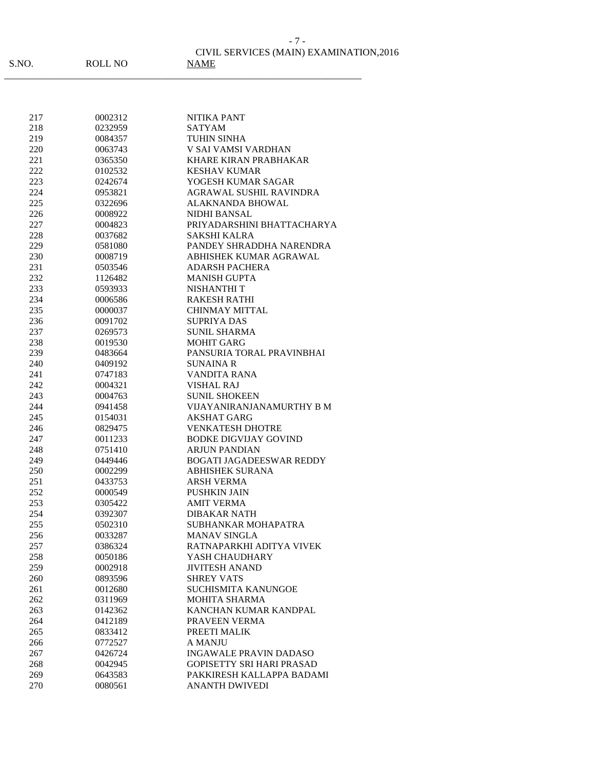| 217 | 0002312 | <b>NITIKA PANT</b>               |
|-----|---------|----------------------------------|
|     | 0232959 | <b>SATYAM</b>                    |
| 218 |         |                                  |
| 219 | 0084357 | <b>TUHIN SINHA</b>               |
| 220 | 0063743 | V SAI VAMSI VARDHAN              |
| 221 | 0365350 | <b>KHARE KIRAN PRABHAKAR</b>     |
| 222 | 0102532 | <b>KESHAV KUMAR</b>              |
| 223 | 0242674 | YOGESH KUMAR SAGAR               |
| 224 | 0953821 | AGRAWAL SUSHIL RAVINDRA          |
| 225 | 0322696 | <b>ALAKNANDA BHOWAL</b>          |
| 226 | 0008922 | NIDHI BANSAL                     |
| 227 | 0004823 | PRIYADARSHINI BHATTACHARYA       |
| 228 | 0037682 | SAKSHI KALRA                     |
| 229 | 0581080 | PANDEY SHRADDHA NARENDRA         |
| 230 | 0008719 | ABHISHEK KUMAR AGRAWAL           |
| 231 | 0503546 | <b>ADARSH PACHERA</b>            |
| 232 | 1126482 | <b>MANISH GUPTA</b>              |
|     |         |                                  |
| 233 | 0593933 | <b>NISHANTHI T</b>               |
| 234 | 0006586 | <b>RAKESH RATHI</b>              |
| 235 | 0000037 | <b>CHINMAY MITTAL</b>            |
| 236 | 0091702 | <b>SUPRIYA DAS</b>               |
| 237 | 0269573 | <b>SUNIL SHARMA</b>              |
| 238 | 0019530 | <b>MOHIT GARG</b>                |
| 239 | 0483664 | PANSURIA TORAL PRAVINBHAI        |
| 240 | 0409192 | <b>SUNAINA R</b>                 |
| 241 | 0747183 | VANDITA RANA                     |
| 242 | 0004321 | <b>VISHAL RAJ</b>                |
| 243 | 0004763 | <b>SUNIL SHOKEEN</b>             |
| 244 | 0941458 | VIJAYANIRANJANAMURTHY B M        |
| 245 | 0154031 | AKSHAT GARG                      |
| 246 | 0829475 | <b>VENKATESH DHOTRE</b>          |
|     |         | <b>BODKE DIGVIJAY GOVIND</b>     |
| 247 | 0011233 |                                  |
| 248 | 0751410 | <b>ARJUN PANDIAN</b>             |
| 249 | 0449446 | <b>BOGATI JAGADEESWAR REDDY</b>  |
| 250 | 0002299 | <b>ABHISHEK SURANA</b>           |
| 251 | 0433753 | <b>ARSH VERMA</b>                |
| 252 | 0000549 | PUSHKIN JAIN                     |
| 253 | 0305422 | <b>AMIT VERMA</b>                |
| 254 | 0392307 | DIBAKAR NATH                     |
| 255 | 0502310 | SUBHANKAR MOHAPATRA              |
| 256 | 0033287 | <b>MANAV SINGLA</b>              |
| 257 | 0386324 | RATNAPARKHI ADITYA VIVEK         |
| 258 | 0050186 | YASH CHAUDHARY                   |
| 259 | 0002918 | <b>JIVITESH ANAND</b>            |
| 260 | 0893596 | <b>SHREY VATS</b>                |
| 261 | 0012680 | SUCHISMITA KANUNGOE              |
| 262 | 0311969 | <b>MOHITA SHARMA</b>             |
|     |         | KANCHAN KUMAR KANDPAL            |
| 263 | 0142362 |                                  |
| 264 | 0412189 | PRAVEEN VERMA                    |
| 265 | 0833412 | PREETI MALIK                     |
| 266 | 0772527 | <b>A MANJU</b>                   |
| 267 | 0426724 | <b>INGAWALE PRAVIN DADASO</b>    |
| 268 | 0042945 | <b>GOPISETTY SRI HARI PRASAD</b> |
| 269 | 0643583 | PAKKIRESH KALLAPPA BADAMI        |
| 270 | 0080561 | <b>ANANTH DWIVEDI</b>            |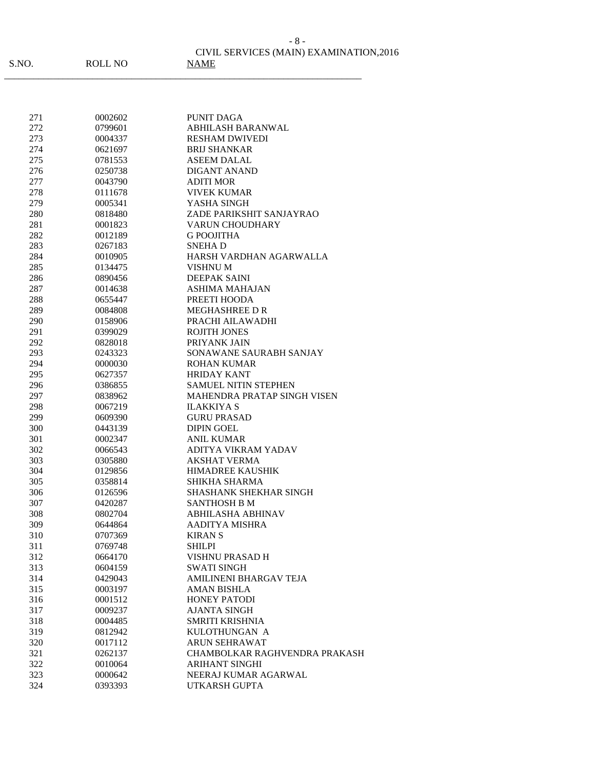| 271 | 0002602 | <b>PUNIT DAGA</b>                                                 |
|-----|---------|-------------------------------------------------------------------|
| 272 | 0799601 | ABHILASH BARANWAL                                                 |
| 273 | 0004337 | <b>RESHAM DWIVEDI</b>                                             |
| 274 | 0621697 | <b>BRIJ SHANKAR</b>                                               |
| 275 | 0781553 | ASEEM DALAL                                                       |
| 276 | 0250738 | DIGANT ANAND                                                      |
| 277 | 0043790 | <b>ADITI MOR</b>                                                  |
| 278 | 0111678 | <b>VIVEK KUMAR</b>                                                |
| 279 | 0005341 | YASHA SINGH                                                       |
| 280 | 0818480 | ZADE PARIKSHIT SANJAYRAO                                          |
| 281 | 0001823 | <b>VARUN CHOUDHARY</b>                                            |
| 282 | 0012189 | <b>G POOJITHA</b>                                                 |
| 283 | 0267183 | SNEHA D                                                           |
| 284 | 0010905 | HARSH VARDHAN AGARWALLA                                           |
| 285 | 0134475 | VISHNU M                                                          |
| 286 | 0890456 | <b>DEEPAK SAINI</b>                                               |
| 287 | 0014638 | ASHIMA MAHAJAN                                                    |
| 288 | 0655447 | PREETI HOODA                                                      |
| 289 | 0084808 | <b>MEGHASHREE D R</b>                                             |
| 290 | 0158906 | PRACHI AILAWADHI                                                  |
| 291 | 0399029 | <b>ROJITH JONES</b>                                               |
| 292 | 0828018 | PRIYANK JAIN                                                      |
|     |         |                                                                   |
| 293 | 0243323 | SONAWANE SAURABH SANJAY                                           |
| 294 | 0000030 | ROHAN KUMAR<br><b>HRIDAY KANT</b>                                 |
| 295 | 0627357 |                                                                   |
| 296 | 0386855 | <b>SAMUEL NITIN STEPHEN</b><br><b>MAHENDRA PRATAP SINGH VISEN</b> |
| 297 | 0838962 |                                                                   |
| 298 | 0067219 | <b>ILAKKIYA S</b>                                                 |
| 299 | 0609390 | <b>GURU PRASAD</b>                                                |
| 300 | 0443139 | <b>DIPIN GOEL</b>                                                 |
| 301 | 0002347 | <b>ANIL KUMAR</b>                                                 |
| 302 | 0066543 | <b>ADITYA VIKRAM YADAV</b>                                        |
| 303 | 0305880 | AKSHAT VERMA                                                      |
| 304 | 0129856 | <b>HIMADREE KAUSHIK</b>                                           |
| 305 | 0358814 | SHIKHA SHARMA                                                     |
| 306 | 0126596 | <b>SHASHANK SHEKHAR SINGH</b>                                     |
| 307 | 0420287 | <b>SANTHOSH B M</b>                                               |
| 308 | 0802704 | <b>ABHILASHA ABHINAV</b>                                          |
| 309 | 0644864 | AADITYA MISHRA                                                    |
| 310 | 0707369 | <b>KIRANS</b>                                                     |
| 311 | 0769748 | SHILPI                                                            |
| 312 | 0664170 | <b>VISHNU PRASAD H</b>                                            |
| 313 | 0604159 | <b>SWATI SINGH</b>                                                |
| 314 | 0429043 | <b>AMILINENI BHARGAV TEJA</b>                                     |
| 315 | 0003197 | <b>AMAN BISHLA</b>                                                |
| 316 | 0001512 | <b>HONEY PATODI</b>                                               |
| 317 | 0009237 | AJANTA SINGH                                                      |
| 318 | 0004485 | SMRITI KRISHNIA                                                   |
| 319 | 0812942 | KULOTHUNGAN A                                                     |
| 320 | 0017112 | <b>ARUN SEHRAWAT</b>                                              |
| 321 | 0262137 | CHAMBOLKAR RAGHVENDRA PRAKASH                                     |
| 322 | 0010064 | ARIHANT SINGHI                                                    |
| 323 | 0000642 | NEERAJ KUMAR AGARWAL                                              |
| 324 | 0393393 | UTKARSH GUPTA                                                     |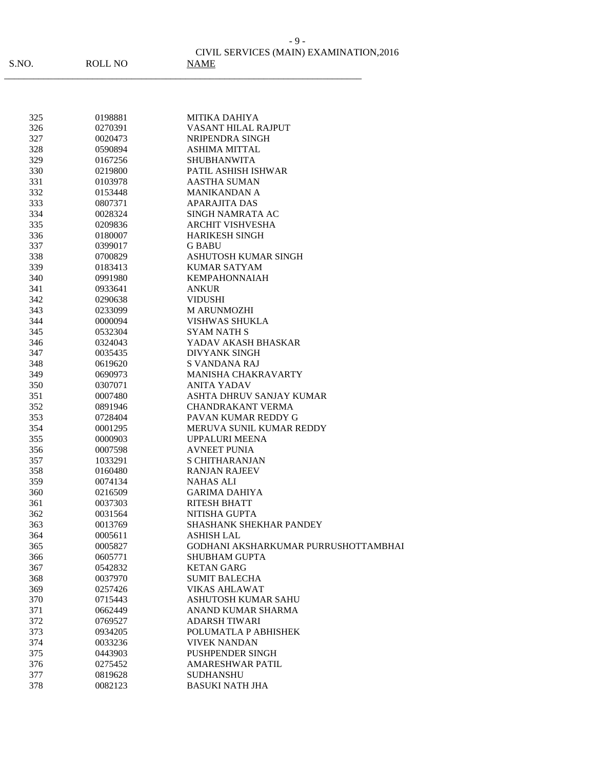| 325        | 0198881 | <b>MITIKA DAHIYA</b>                 |
|------------|---------|--------------------------------------|
| 326        | 0270391 | VASANT HILAL RAJPUT                  |
| 327        | 0020473 | NRIPENDRA SINGH                      |
| 328        | 0590894 | <b>ASHIMA MITTAL</b>                 |
| 329        | 0167256 | <b>SHUBHANWITA</b>                   |
| 330        | 0219800 | PATIL ASHISH ISHWAR                  |
| 331        | 0103978 | <b>AASTHA SUMAN</b>                  |
| 332        | 0153448 | <b>MANIKANDAN A</b>                  |
| 333        | 0807371 | <b>APARAJITA DAS</b>                 |
| 334        | 0028324 | SINGH NAMRATA AC                     |
| 335        | 0209836 | <b>ARCHIT VISHVESHA</b>              |
| 336        | 0180007 | <b>HARIKESH SINGH</b>                |
| 337        | 0399017 | <b>G BABU</b>                        |
| 338        | 0700829 | ASHUTOSH KUMAR SINGH                 |
| 339        | 0183413 | KUMAR SATYAM                         |
| 340        | 0991980 | <b>KEMPAHONNAIAH</b>                 |
| 341        | 0933641 | ANKUR                                |
| 342        | 0290638 | <b>VIDUSHI</b>                       |
| 343        | 0233099 | M ARUNMOZHI                          |
| 344        | 0000094 | VISHWAS SHUKLA                       |
| 345        | 0532304 | <b>SYAM NATH S</b>                   |
| 346        | 0324043 | YADAV AKASH BHASKAR                  |
| 347        | 0035435 | <b>DIVYANK SINGH</b>                 |
| 348        | 0619620 | S VANDANA RAJ                        |
| 349        | 0690973 | <b>MANISHA CHAKRAVARTY</b>           |
| 350        | 0307071 | ANITA YADAV                          |
| 351        | 0007480 | ASHTA DHRUV SANJAY KUMAR             |
| 352        | 0891946 | <b>CHANDRAKANT VERMA</b>             |
| 353        | 0728404 | PAVAN KUMAR REDDY G                  |
| 354        | 0001295 | MERUVA SUNIL KUMAR REDDY             |
| 355        | 0000903 | <b>UPPALURI MEENA</b>                |
| 356        | 0007598 | <b>AVNEET PUNIA</b>                  |
| 357        | 1033291 | <b>S CHITHARANJAN</b>                |
| 358        | 0160480 | <b>RANJAN RAJEEV</b>                 |
| 359        | 0074134 | <b>NAHAS ALI</b>                     |
| 360        | 0216509 | <b>GARIMA DAHIYA</b>                 |
|            | 0037303 | <b>RITESH BHATT</b>                  |
| 361<br>362 | 0031564 | NITISHA GUPTA                        |
| 363        | 0013769 | <b>SHASHANK SHEKHAR PANDEY</b>       |
| 364        | 0005611 | <b>ASHISH LAL</b>                    |
| 365        |         | GODHANI AKSHARKUMAR PURRUSHOTTAMBHAI |
|            | 0005827 |                                      |
| 366        | 0605771 | <b>SHUBHAM GUPTA</b>                 |
| 367        | 0542832 | <b>KETAN GARG</b>                    |
| 368        | 0037970 | <b>SUMIT BALECHA</b>                 |
| 369        | 0257426 | <b>VIKAS AHLAWAT</b>                 |
| 370        | 0715443 | ASHUTOSH KUMAR SAHU                  |
| 371        | 0662449 | ANAND KUMAR SHARMA                   |
| 372        | 0769527 | <b>ADARSH TIWARI</b>                 |
| 373        | 0934205 | POLUMATLA P ABHISHEK                 |
| 374        | 0033236 | <b>VIVEK NANDAN</b>                  |
| 375        | 0443903 | <b>PUSHPENDER SINGH</b>              |
| 376        | 0275452 | <b>AMARESHWAR PATIL</b>              |
| 377        | 0819628 | <b>SUDHANSHU</b>                     |
| 378        | 0082123 | <b>BASUKI NATH JHA</b>               |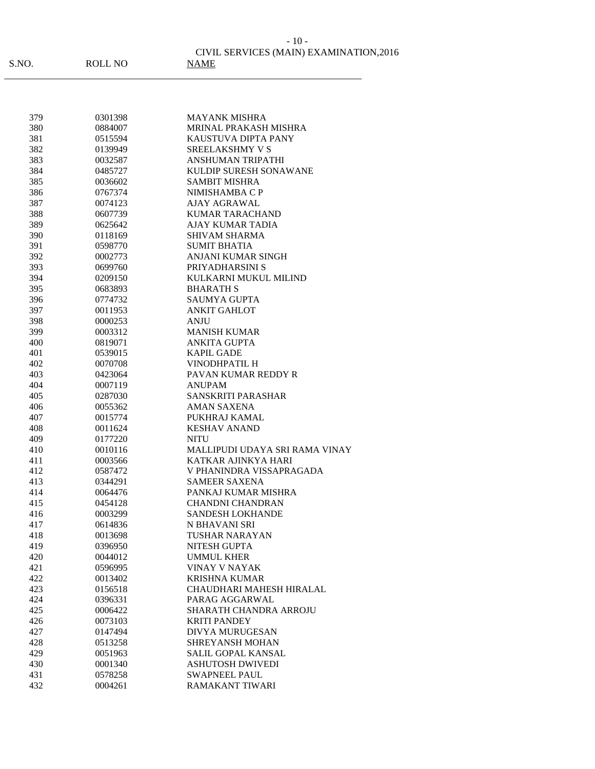| 379 | 0301398 | <b>MAYANK MISHRA</b>           |
|-----|---------|--------------------------------|
| 380 | 0884007 | MRINAL PRAKASH MISHRA          |
| 381 | 0515594 | KAUSTUVA DIPTA PANY            |
| 382 | 0139949 | <b>SREELAKSHMY V S</b>         |
| 383 | 0032587 | <b>ANSHUMAN TRIPATHI</b>       |
| 384 | 0485727 | KULDIP SURESH SONAWANE         |
| 385 | 0036602 | <b>SAMBIT MISHRA</b>           |
| 386 | 0767374 | NIMISHAMBA C P                 |
| 387 | 0074123 | AJAY AGRAWAL                   |
| 388 | 0607739 | <b>KUMAR TARACHAND</b>         |
| 389 | 0625642 | <b>AJAY KUMAR TADIA</b>        |
| 390 | 0118169 | <b>SHIVAM SHARMA</b>           |
| 391 | 0598770 | SUMIT BHATIA                   |
| 392 | 0002773 | ANJANI KUMAR SINGH             |
| 393 | 0699760 | PRIYADHARSINI S                |
| 394 | 0209150 | KULKARNI MUKUL MILIND          |
| 395 | 0683893 | <b>BHARATH S</b>               |
| 396 | 0774732 | SAUMYA GUPTA                   |
| 397 | 0011953 | <b>ANKIT GAHLOT</b>            |
| 398 | 0000253 | ANJU                           |
| 399 | 0003312 | <b>MANISH KUMAR</b>            |
| 400 | 0819071 | ANKITA GUPTA                   |
| 401 | 0539015 | <b>KAPIL GADE</b>              |
| 402 | 0070708 | <b>VINODHPATIL H</b>           |
| 403 | 0423064 | PAVAN KUMAR REDDY R            |
| 404 | 0007119 | ANUPAM                         |
| 405 | 0287030 | SANSKRITI PARASHAR             |
| 406 | 0055362 | AMAN SAXENA                    |
| 407 | 0015774 | PUKHRAJ KAMAL                  |
| 408 | 0011624 | <b>KESHAV ANAND</b>            |
| 409 | 0177220 | NITU                           |
| 410 | 0010116 | MALLIPUDI UDAYA SRI RAMA VINAY |
| 411 | 0003566 | KATKAR AJINKYA HARI            |
| 412 | 0587472 | V PHANINDRA VISSAPRAGADA       |
| 413 | 0344291 | <b>SAMEER SAXENA</b>           |
| 414 | 0064476 | PANKAJ KUMAR MISHRA            |
| 415 | 0454128 | <b>CHANDNI CHANDRAN</b>        |
| 416 | 0003299 | <b>SANDESH LOKHANDE</b>        |
| 417 | 0614836 | N BHAVANI SRI                  |
| 418 | 0013698 | TUSHAR NARAYAN                 |
| 419 | 0396950 | NITESH GUPTA                   |
| 420 | 0044012 | <b>UMMUL KHER</b>              |
| 421 | 0596995 | VINAY V NAYAK                  |
| 422 | 0013402 | <b>KRISHNA KUMAR</b>           |
| 423 | 0156518 | CHAUDHARI MAHESH HIRALAL       |
| 424 | 0396331 | PARAG AGGARWAL                 |
| 425 | 0006422 | SHARATH CHANDRA ARROJU         |
| 426 | 0073103 | <b>KRITI PANDEY</b>            |
| 427 | 0147494 | <b>DIVYA MURUGESAN</b>         |
| 428 | 0513258 | SHREYANSH MOHAN                |
| 429 | 0051963 | SALIL GOPAL KANSAL             |
| 430 | 0001340 | <b>ASHUTOSH DWIVEDI</b>        |
| 431 | 0578258 | <b>SWAPNEEL PAUL</b>           |
| 432 | 0004261 | RAMAKANT TIWARI                |
|     |         |                                |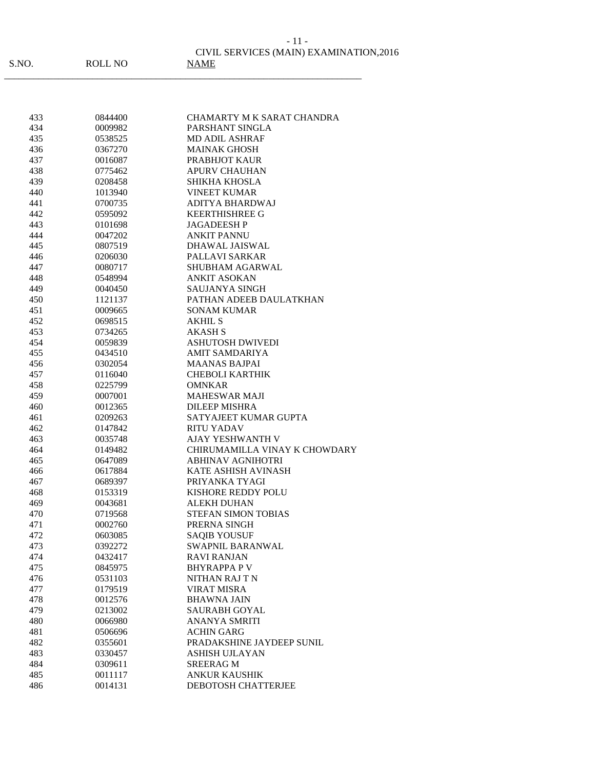|       |         | CIVIL SERVICES (MAIN) EXAMINATION, 2016 |
|-------|---------|-----------------------------------------|
| S.NO. | ROLL NO | NAME                                    |
|       |         |                                         |

| 433 | 0844400 | CHAMARTY M K SARAT CHANDRA    |
|-----|---------|-------------------------------|
| 434 | 0009982 | PARSHANT SINGLA               |
| 435 | 0538525 | MD ADIL ASHRAF                |
| 436 | 0367270 | <b>MAINAK GHOSH</b>           |
| 437 | 0016087 | PRABHJOT KAUR                 |
| 438 | 0775462 | <b>APURV CHAUHAN</b>          |
| 439 | 0208458 | SHIKHA KHOSLA                 |
| 440 | 1013940 | <b>VINEET KUMAR</b>           |
| 441 | 0700735 | ADITYA BHARDWAJ               |
| 442 | 0595092 | <b>KEERTHISHREE G</b>         |
| 443 | 0101698 | <b>JAGADEESHP</b>             |
| 444 | 0047202 | <b>ANKIT PANNU</b>            |
| 445 | 0807519 | <b>DHAWAL JAISWAL</b>         |
| 446 | 0206030 | PALLAVI SARKAR                |
| 447 | 0080717 | SHUBHAM AGARWAL               |
| 448 | 0548994 | ANKIT ASOKAN                  |
| 449 | 0040450 | <b>SAUJANYA SINGH</b>         |
| 450 | 1121137 | PATHAN ADEEB DAULATKHAN       |
| 451 | 0009665 | <b>SONAM KUMAR</b>            |
| 452 | 0698515 | AKHIL S                       |
| 453 | 0734265 | <b>AKASH S</b>                |
| 454 | 0059839 | <b>ASHUTOSH DWIVEDI</b>       |
| 455 | 0434510 | <b>AMIT SAMDARIYA</b>         |
| 456 | 0302054 | <b>MAANAS BAJPAI</b>          |
| 457 | 0116040 | <b>CHEBOLI KARTHIK</b>        |
| 458 | 0225799 | <b>OMNKAR</b>                 |
| 459 | 0007001 | <b>MAHESWAR MAJI</b>          |
| 460 | 0012365 | <b>DILEEP MISHRA</b>          |
| 461 | 0209263 | SATYAJEET KUMAR GUPTA         |
| 462 | 0147842 | <b>RITU YADAV</b>             |
| 463 | 0035748 | <b>AJAY YESHWANTH V</b>       |
| 464 | 0149482 | CHIRUMAMILLA VINAY K CHOWDARY |
| 465 | 0647089 | <b>ABHINAV AGNIHOTRI</b>      |
| 466 | 0617884 | KATE ASHISH AVINASH           |
| 467 | 0689397 | PRIYANKA TYAGI                |
| 468 | 0153319 | KISHORE REDDY POLU            |
| 469 | 0043681 | <b>ALEKH DUHAN</b>            |
| 470 | 0719568 | <b>STEFAN SIMON TOBIAS</b>    |
| 471 | 0002760 | PRERNA SINGH                  |
| 472 | 0603085 | <b>SAQIB YOUSUF</b>           |
| 473 | 0392272 | SWAPNIL BARANWAL              |
| 474 | 0432417 | <b>RAVI RANJAN</b>            |
| 475 | 0845975 | <b>BHYRAPPA PV</b>            |
| 476 | 0531103 | NITHAN RAJ T N                |
| 477 | 0179519 | <b>VIRAT MISRA</b>            |
| 478 | 0012576 | <b>BHAWNA JAIN</b>            |
| 479 | 0213002 | <b>SAURABH GOYAL</b>          |
| 480 | 0066980 | <b>ANANYA SMRITI</b>          |
| 481 | 0506696 | <b>ACHIN GARG</b>             |
| 482 | 0355601 | PRADAKSHINE JAYDEEP SUNIL     |
| 483 | 0330457 | <b>ASHISH UJLAYAN</b>         |
| 484 | 0309611 | <b>SREERAG M</b>              |
| 485 | 0011117 | <b>ANKUR KAUSHIK</b>          |
| 486 | 0014131 | DEBOTOSH CHATTERJEE           |
|     |         |                               |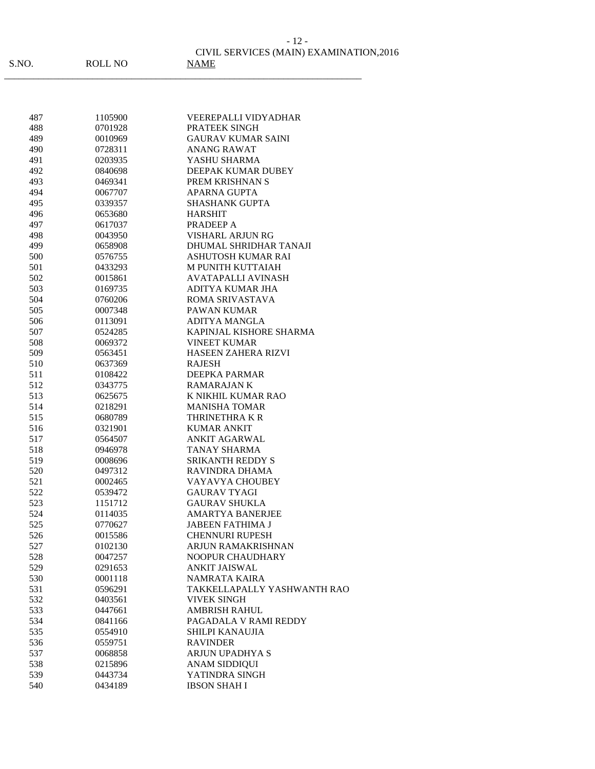| 487        | 1105900 | <b>VEEREPALLI VIDYADHAR</b> |
|------------|---------|-----------------------------|
| 488        | 0701928 | PRATEEK SINGH               |
| 489        | 0010969 | <b>GAURAV KUMAR SAINI</b>   |
| 490        | 0728311 | ANANG RAWAT                 |
| 491        | 0203935 | YASHU SHARMA                |
| 492        | 0840698 | DEEPAK KUMAR DUBEY          |
| 493        | 0469341 | PREM KRISHNAN S             |
| 494        | 0067707 | APARNA GUPTA                |
| 495        | 0339357 | <b>SHASHANK GUPTA</b>       |
| 496        | 0653680 | <b>HARSHIT</b>              |
| 497        | 0617037 | PRADEEP A                   |
| 498        | 0043950 | <b>VISHARL ARJUN RG</b>     |
| 499        | 0658908 | DHUMAL SHRIDHAR TANAJI      |
| 500        | 0576755 | ASHUTOSH KUMAR RAI          |
| 501        | 0433293 | <b>M PUNITH KUTTAIAH</b>    |
| 502        | 0015861 | AVATAPALLI AVINASH          |
| 503        | 0169735 | ADITYA KUMAR JHA            |
| 504        | 0760206 | ROMA SRIVASTAVA             |
| 505        | 0007348 | <b>PAWAN KUMAR</b>          |
| 506        | 0113091 | ADITYA MANGLA               |
| 507        | 0524285 | KAPINJAL KISHORE SHARMA     |
| 508        | 0069372 | <b>VINEET KUMAR</b>         |
| 509        | 0563451 | <b>HASEEN ZAHERA RIZVI</b>  |
| 510        | 0637369 | <b>RAJESH</b>               |
| 511        | 0108422 | <b>DEEPKA PARMAR</b>        |
| 512        | 0343775 | <b>RAMARAJAN K</b>          |
| 513        | 0625675 | K NIKHIL KUMAR RAO          |
| 514        | 0218291 | <b>MANISHA TOMAR</b>        |
| 515        | 0680789 | THRINETHRA K R              |
| 516        | 0321901 | <b>KUMAR ANKIT</b>          |
| 517        | 0564507 | <b>ANKIT AGARWAL</b>        |
| 518        | 0946978 | <b>TANAY SHARMA</b>         |
| 519        | 0008696 | <b>SRIKANTH REDDY S</b>     |
| 520        | 0497312 | RAVINDRA DHAMA              |
| 521        | 0002465 | VAYAVYA CHOUBEY             |
| 522        | 0539472 | <b>GAURAV TYAGI</b>         |
|            |         | <b>GAURAV SHUKLA</b>        |
| 523        | 1151712 | <b>AMARTYA BANERJEE</b>     |
| 524        | 0114035 |                             |
| 525<br>526 | 0770627 | <b>JABEEN FATHIMA J</b>     |
|            | 0015586 | <b>CHENNURI RUPESH</b>      |
| 527        | 0102130 | ARJUN RAMAKRISHNAN          |
| 528        | 0047257 | NOOPUR CHAUDHARY            |
| 529        | 0291653 | <b>ANKIT JAISWAL</b>        |
| 530        | 0001118 | <b>NAMRATA KAIRA</b>        |
| 531        | 0596291 | TAKKELLAPALLY YASHWANTH RAO |
| 532        | 0403561 | <b>VIVEK SINGH</b>          |
| 533        | 0447661 | <b>AMBRISH RAHUL</b>        |
| 534        | 0841166 | PAGADALA V RAMI REDDY       |
| 535        | 0554910 | SHILPI KANAUJIA             |
| 536        | 0559751 | <b>RAVINDER</b>             |
| 537        | 0068858 | ARJUN UPADHYA S             |
| 538        | 0215896 | <b>ANAM SIDDIQUI</b>        |
| 539        | 0443734 | YATINDRA SINGH              |
| 540        | 0434189 | <b>IBSON SHAH I</b>         |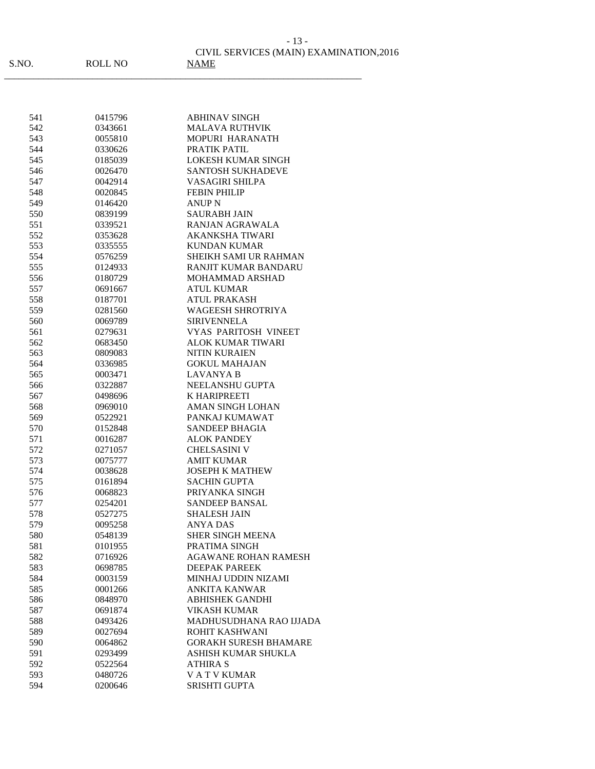|      |         | CIVIL SERVICES (MAIN) EXAMINATION, 2016 |
|------|---------|-----------------------------------------|
| S.NO | ROLL NO | NAME                                    |

- 13 -

| 541        | 0415796 | <b>ABHINAV SINGH</b>         |
|------------|---------|------------------------------|
| 542        | 0343661 | MALAVA RUTHVIK               |
| 543        | 0055810 | MOPURI HARANATH              |
| 544        | 0330626 | PRATIK PATIL                 |
| 545        | 0185039 | <b>LOKESH KUMAR SINGH</b>    |
| 546        | 0026470 | <b>SANTOSH SUKHADEVE</b>     |
| 547        | 0042914 | <b>VASAGIRI SHILPA</b>       |
| 548        | 0020845 | <b>FEBIN PHILIP</b>          |
| 549        | 0146420 | <b>ANUP N</b>                |
| 550        | 0839199 | <b>SAURABH JAIN</b>          |
| 551        | 0339521 | RANJAN AGRAWALA              |
| 552        | 0353628 | <b>AKANKSHA TIWARI</b>       |
| 553        | 0335555 | <b>KUNDAN KUMAR</b>          |
| 554        | 0576259 | <b>SHEIKH SAMI UR RAHMAN</b> |
| 555        | 0124933 | <b>RANJIT KUMAR BANDARU</b>  |
| 556        | 0180729 | MOHAMMAD ARSHAD              |
| 557        | 0691667 | <b>ATUL KUMAR</b>            |
| 558        | 0187701 | <b>ATUL PRAKASH</b>          |
| 559        | 0281560 | <b>WAGEESH SHROTRIYA</b>     |
| 560        | 0069789 | <b>SIRIVENNELA</b>           |
| 561        | 0279631 | <b>VYAS PARITOSH VINEET</b>  |
| 562        | 0683450 | <b>ALOK KUMAR TIWARI</b>     |
| 563        | 0809083 | <b>NITIN KURAIEN</b>         |
| 564        | 0336985 | <b>GOKUL MAHAJAN</b>         |
| 565        | 0003471 | <b>LAVANYA B</b>             |
| 566        | 0322887 | NEELANSHU GUPTA              |
| 567        | 0498696 | K HARIPREETI                 |
| 568        | 0969010 | <b>AMAN SINGH LOHAN</b>      |
| 569        | 0522921 | PANKAJ KUMAWAT               |
| 570        | 0152848 | <b>SANDEEP BHAGIA</b>        |
| 571        | 0016287 | ALOK PANDEY                  |
|            | 0271057 | <b>CHELSASINI V</b>          |
| 572<br>573 | 0075777 | AMIT KUMAR                   |
| 574        | 0038628 | <b>JOSEPH K MATHEW</b>       |
|            | 0161894 | <b>SACHIN GUPTA</b>          |
| 575        | 0068823 |                              |
| 576        |         | PRIYANKA SINGH               |
| 577        | 0254201 | <b>SANDEEP BANSAL</b>        |
| 578        | 0527275 | <b>SHALESH JAIN</b>          |
| 579        | 0095258 | <b>ANYA DAS</b>              |
| 580        | 0548139 | SHER SINGH MEENA             |
| 581        | 0101955 | PRATIMA SINGH                |
| 582        | 0716926 | <b>AGAWANE ROHAN RAMESH</b>  |
| 583        | 0698785 | <b>DEEPAK PAREEK</b>         |
| 584        | 0003159 | MINHAJ UDDIN NIZAMI          |
| 585        | 0001266 | ANKITA KANWAR                |
| 586        | 0848970 | ABHISHEK GANDHI              |
| 587        | 0691874 | VIKASH KUMAR                 |
| 588        | 0493426 | MADHUSUDHANA RAO IJJADA      |
| 589        | 0027694 | ROHIT KASHWANI               |
| 590        | 0064862 | <b>GORAKH SURESH BHAMARE</b> |
| 591        | 0293499 | ASHISH KUMAR SHUKLA          |
| 592        | 0522564 | <b>ATHIRA S</b>              |
| 593        | 0480726 | <b>VATVKUMAR</b>             |
| 594        | 0200646 | <b>SRISHTI GUPTA</b>         |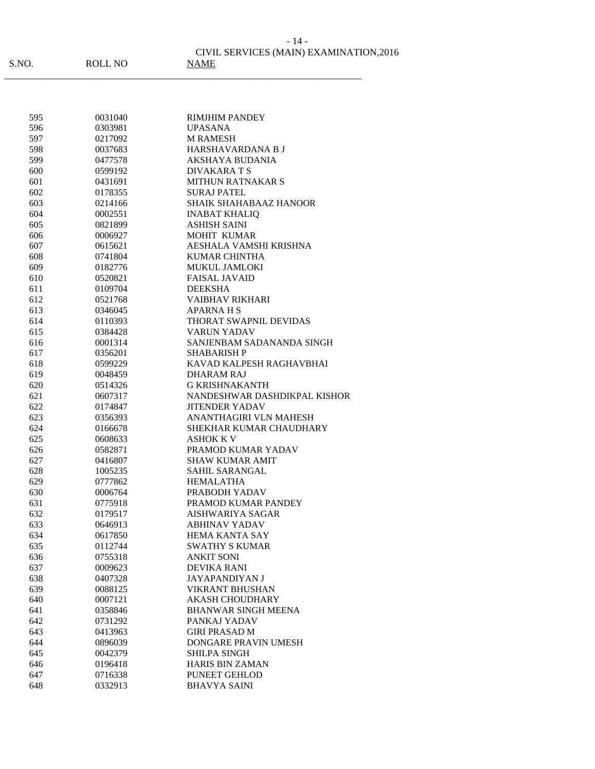|   | - 14 -                                  |
|---|-----------------------------------------|
|   | CIVIL SERVICES (MAIN) EXAMINATION, 2016 |
| Õ | <b>NAME</b>                             |

| S.NO. |  |
|-------|--|
|       |  |

 $ROLL NO$ 

| 595        | 0031040 | <b>RIMJHIM PANDEY</b>         |
|------------|---------|-------------------------------|
| 596        | 0303981 | <b>UPASANA</b>                |
| 597        | 0217092 | <b>M RAMESH</b>               |
| 598        | 0037683 | HARSHAVARDANA B J             |
| 599        | 0477578 | AKSHAYA BUDANIA               |
| 600        | 0599192 | DIVAKARA T S                  |
| 601        | 0431691 | <b>MITHUN RATNAKAR S</b>      |
| 602        | 0178355 | <b>SURAJ PATEL</b>            |
| 603        | 0214166 | <b>SHAIK SHAHABAAZ HANOOR</b> |
| 604        | 0002551 | <b>INABAT KHALIQ</b>          |
| 605        | 0821899 | <b>ASHISH SAINI</b>           |
| 606        | 0006927 | MOHIT KUMAR                   |
| 607        | 0615621 | AESHALA VAMSHI KRISHNA        |
| 608        | 0741804 | <b>KUMAR CHINTHA</b>          |
| 609        | 0182776 | <b>MUKUL JAMLOKI</b>          |
| 610        | 0520821 | <b>FAISAL JAVAID</b>          |
| 611        | 0109704 | <b>DEEKSHA</b>                |
| 612        | 0521768 | VAIBHAV RIKHARI               |
| 613        | 0346045 | <b>APARNAHS</b>               |
| 614        | 0110393 | THORAT SWAPNIL DEVIDAS        |
|            | 0384428 | <b>VARUN YADAV</b>            |
| 615<br>616 |         | SANJENBAM SADANANDA SINGH     |
|            | 0001314 |                               |
| 617        | 0356201 | <b>SHABARISH P</b>            |
| 618        | 0599229 | KAVAD KALPESH RAGHAVBHAI      |
| 619        | 0048459 | <b>DHARAM RAJ</b>             |
| 620        | 0514326 | <b>G KRISHNAKANTH</b>         |
| 621        | 0607317 | NANDESHWAR DASHDIKPAL KISHOR  |
| 622        | 0174847 | <b>JITENDER YADAV</b>         |
| 623        | 0356393 | ANANTHAGIRI VLN MAHESH        |
| 624        | 0166678 | SHEKHAR KUMAR CHAUDHARY       |
| 625        | 0608633 | <b>ASHOK K V</b>              |
| 626        | 0582871 | PRAMOD KUMAR YADAV            |
| 627        | 0416807 | <b>SHAW KUMAR AMIT</b>        |
| 628        | 1005235 | <b>SAHIL SARANGAL</b>         |
| 629        | 0777862 | <b>HEMALATHA</b>              |
| 630        | 0006764 | PRABODH YADAV                 |
| 631        | 0775918 | PRAMOD KUMAR PANDEY           |
| 632        | 0179517 | AISHWARIYA SAGAR              |
| 633        | 0646913 | <b>ABHINAV YADAV</b>          |
| 634        | 0617850 | <b>HEMA KANTA SAY</b>         |
| 635        | 0112744 | <b>SWATHY S KUMAR</b>         |
| 636        | 0755318 | <b>ANKIT SONI</b>             |
| 637        | 0009623 | <b>DEVIKA RANI</b>            |
| 638        | 0407328 | <b>JAYAPANDIYAN J</b>         |
| 639        | 0088125 | <b>VIKRANT BHUSHAN</b>        |
| 640        | 0007121 | <b>AKASH CHOUDHARY</b>        |
| 641        | 0358846 | <b>BHANWAR SINGH MEENA</b>    |
| 642        | 0731292 | PANKAJ YADAV                  |
| 643        | 0413963 | <b>GIRI PRASAD M</b>          |
| 644        | 0896039 | <b>DONGARE PRAVIN UMESH</b>   |
| 645        | 0042379 | SHILPA SINGH                  |
| 646        | 0196418 | <b>HARIS BIN ZAMAN</b>        |
| 647        | 0716338 | PUNEET GEHLOD                 |
| 648        | 0332913 | <b>BHAVYA SAINI</b>           |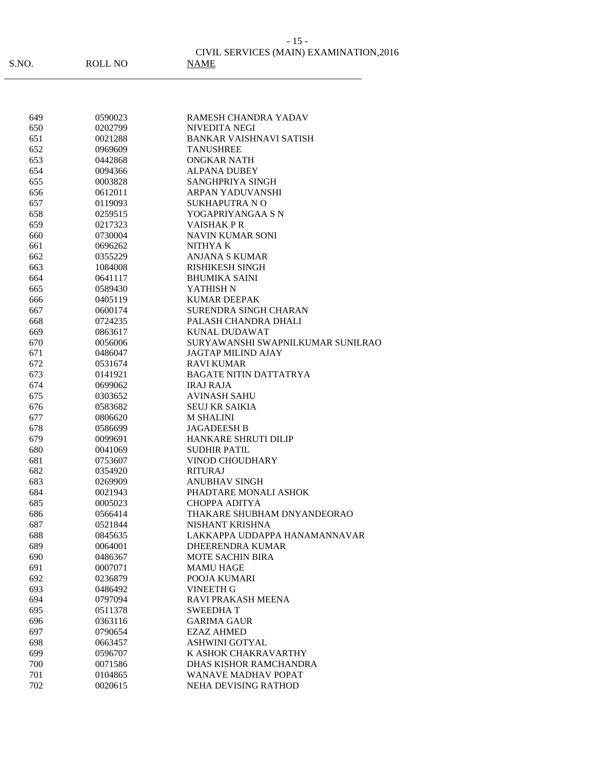| S.NO. | ROLL NO | CIVIL SERVICES (MAIN) EXAMINATION, 2016<br><b>NAME</b> |
|-------|---------|--------------------------------------------------------|
|-------|---------|--------------------------------------------------------|

| 649 | 0590023 | RAMESH CHANDRA YADAV              |
|-----|---------|-----------------------------------|
| 650 | 0202799 | <b>NIVEDITA NEGI</b>              |
| 651 | 0021288 | <b>BANKAR VAISHNAVI SATISH</b>    |
| 652 | 0969609 | <b>TANUSHREE</b>                  |
| 653 | 0442868 | <b>ONGKAR NATH</b>                |
| 654 | 0094366 | <b>ALPANA DUBEY</b>               |
| 655 | 0003828 | SANGHPRIYA SINGH                  |
| 656 | 0612011 | ARPAN YADUVANSHI                  |
| 657 | 0119093 | <b>SUKHAPUTRA NO</b>              |
| 658 | 0259515 | YOGAPRIYANGAA S N                 |
| 659 | 0217323 | <b>VAISHAKPR</b>                  |
| 660 | 0730004 | <b>NAVIN KUMAR SONI</b>           |
| 661 | 0696262 | NITHYA K                          |
| 662 | 0355229 | <b>ANJANA S KUMAR</b>             |
| 663 | 1084008 | <b>RISHIKESH SINGH</b>            |
| 664 | 0641117 | <b>BHUMIKA SAINI</b>              |
| 665 | 0589430 | YATHISH N                         |
| 666 | 0405119 | <b>KUMAR DEEPAK</b>               |
| 667 | 0600174 | SURENDRA SINGH CHARAN             |
| 668 | 0724235 | PALASH CHANDRA DHALI              |
| 669 | 0863617 | <b>KUNAL DUDAWAT</b>              |
| 670 | 0056006 | SURYAWANSHI SWAPNILKUMAR SUNILRAO |
|     |         | <b>JAGTAP MILIND AJAY</b>         |
| 671 | 0486047 | <b>RAVI KUMAR</b>                 |
| 672 | 0531674 |                                   |
| 673 | 0141921 | <b>BAGATE NITIN DATTATRYA</b>     |
| 674 | 0699062 | <b>IRAJ RAJA</b>                  |
| 675 | 0303652 | AVINASH SAHU                      |
| 676 | 0583682 | <b>SEUJ KR SAIKIA</b>             |
| 677 | 0806620 | <b>M SHALINI</b>                  |
| 678 | 0586699 | <b>JAGADEESH B</b>                |
| 679 | 0099691 | <b>HANKARE SHRUTI DILIP</b>       |
| 680 | 0041069 | <b>SUDHIR PATIL</b>               |
| 681 | 0753607 | <b>VINOD CHOUDHARY</b>            |
| 682 | 0354920 | <b>RITURAJ</b>                    |
| 683 | 0269909 | <b>ANUBHAV SINGH</b>              |
| 684 | 0021943 | PHADTARE MONALI ASHOK             |
| 685 | 0005023 | <b>CHOPPA ADITYA</b>              |
| 686 | 0566414 | THAKARE SHUBHAM DNYANDEORAO       |
| 687 | 0521844 | NISHANT KRISHNA                   |
| 688 | 0845635 | LAKKAPPA UDDAPPA HANAMANNAVAR     |
| 689 | 0064001 | DHEERENDRA KUMAR                  |
| 690 | 0486367 | <b>MOTE SACHIN BIRA</b>           |
| 691 | 0007071 | <b>MAMU HAGE</b>                  |
| 692 | 0236879 | POOJA KUMARI                      |
| 693 | 0486492 | <b>VINEETH G</b>                  |
| 694 | 0797094 | RAVI PRAKASH MEENA                |
| 695 | 0511378 | <b>SWEEDHAT</b>                   |
| 696 | 0363116 | <b>GARIMA GAUR</b>                |
| 697 | 0790654 | <b>EZAZ AHMED</b>                 |
| 698 | 0663457 | <b>ASHWINI GOTYAL</b>             |
| 699 | 0596707 | K ASHOK CHAKRAVARTHY              |
| 700 | 0071586 | DHAS KISHOR RAMCHANDRA            |
| 701 | 0104865 | WANAVE MADHAV POPAT               |
| 702 | 0020615 | NEHA DEVISING RATHOD              |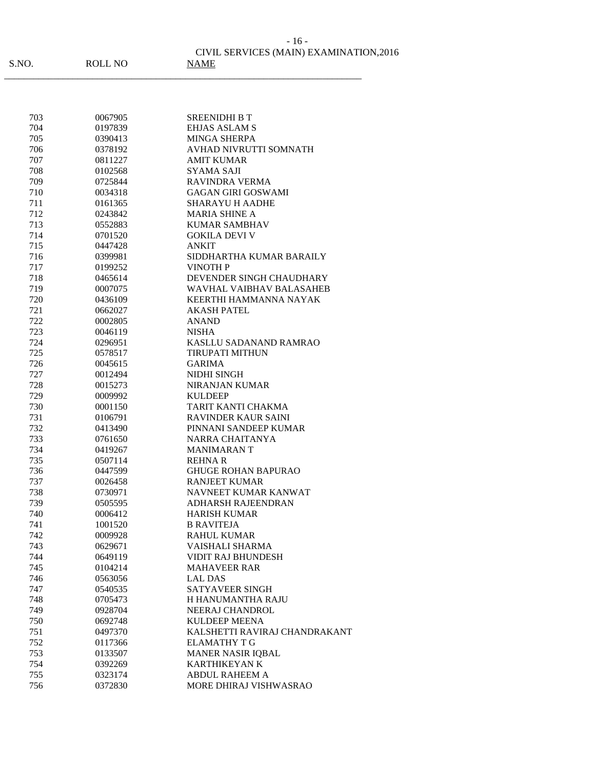| 703 | 0067905 | <b>SREENIDHI B T</b>          |
|-----|---------|-------------------------------|
| 704 | 0197839 | <b>EHJAS ASLAM S</b>          |
| 705 | 0390413 | <b>MINGA SHERPA</b>           |
| 706 | 0378192 | AVHAD NIVRUTTI SOMNATH        |
| 707 | 0811227 | <b>AMIT KUMAR</b>             |
| 708 | 0102568 | <b>SYAMA SAJI</b>             |
| 709 | 0725844 | <b>RAVINDRA VERMA</b>         |
| 710 | 0034318 | <b>GAGAN GIRI GOSWAMI</b>     |
| 711 | 0161365 | SHARAYU H AADHE               |
| 712 | 0243842 | <b>MARIA SHINE A</b>          |
| 713 | 0552883 | <b>KUMAR SAMBHAV</b>          |
| 714 | 0701520 | <b>GOKILA DEVI V</b>          |
| 715 | 0447428 | ANKIT                         |
| 716 | 0399981 | SIDDHARTHA KUMAR BARAILY      |
| 717 | 0199252 | <b>VINOTH P</b>               |
| 718 | 0465614 | DEVENDER SINGH CHAUDHARY      |
| 719 | 0007075 | WAVHAL VAIBHAV BALASAHEB      |
| 720 | 0436109 | KEERTHI HAMMANNA NAYAK        |
| 721 | 0662027 | <b>AKASH PATEL</b>            |
| 722 | 0002805 | ANAND                         |
| 723 | 0046119 | <b>NISHA</b>                  |
| 724 | 0296951 | KASLLU SADANAND RAMRAO        |
| 725 | 0578517 | <b>TIRUPATI MITHUN</b>        |
| 726 | 0045615 | <b>GARIMA</b>                 |
| 727 | 0012494 | NIDHI SINGH                   |
| 728 | 0015273 | <b>NIRANJAN KUMAR</b>         |
| 729 | 0009992 | <b>KULDEEP</b>                |
| 730 | 0001150 | TARIT KANTI CHAKMA            |
| 731 | 0106791 | <b>RAVINDER KAUR SAINI</b>    |
| 732 | 0413490 | PINNANI SANDEEP KUMAR         |
| 733 | 0761650 | NARRA CHAITANYA               |
| 734 | 0419267 | <b>MANIMARANT</b>             |
| 735 | 0507114 | <b>REHNAR</b>                 |
| 736 | 0447599 | <b>GHUGE ROHAN BAPURAO</b>    |
| 737 | 0026458 | <b>RANJEET KUMAR</b>          |
| 738 | 0730971 | NAVNEET KUMAR KANWAT          |
| 739 | 0505595 | <b>ADHARSH RAJEENDRAN</b>     |
| 740 | 0006412 | <b>HARISH KUMAR</b>           |
| 741 | 1001520 | <b>B RAVITEJA</b>             |
| 742 | 0009928 | <b>RAHUL KUMAR</b>            |
| 743 | 0629671 | VAISHALI SHARMA               |
| 744 | 0649119 | <b>VIDIT RAJ BHUNDESH</b>     |
| 745 | 0104214 | <b>MAHAVEER RAR</b>           |
| 746 | 0563056 | <b>LAL DAS</b>                |
| 747 | 0540535 | <b>SATYAVEER SINGH</b>        |
| 748 | 0705473 | H HANUMANTHA RAJU             |
| 749 | 0928704 | NEERAJ CHANDROL               |
| 750 | 0692748 | <b>KULDEEP MEENA</b>          |
| 751 | 0497370 | KALSHETTI RAVIRAJ CHANDRAKANT |
| 752 | 0117366 | <b>ELAMATHY T G</b>           |
| 753 | 0133507 | <b>MANER NASIR IQBAL</b>      |
| 754 | 0392269 | <b>KARTHIKEYAN K</b>          |
| 755 | 0323174 | <b>ABDUL RAHEEM A</b>         |
| 756 | 0372830 | MORE DHIRAJ VISHWASRAO        |
|     |         |                               |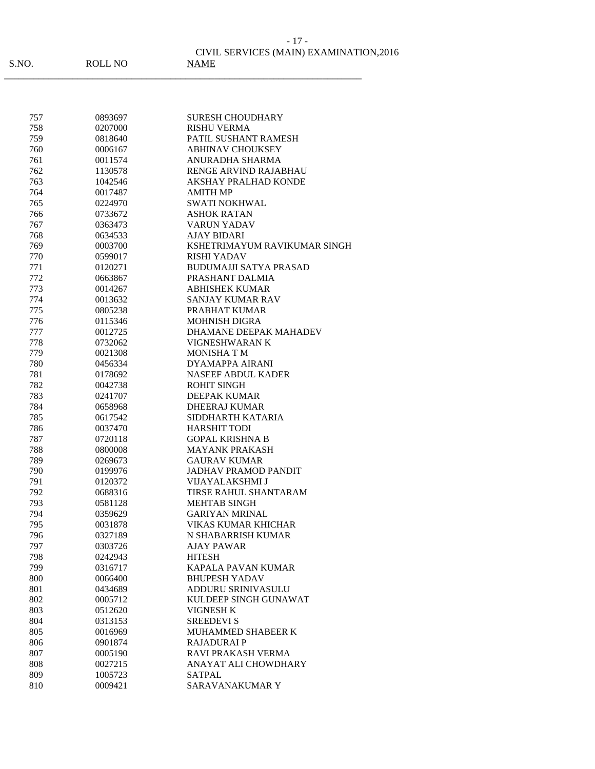|      |         | CIVIL SERVICES (MAIN) EXAMINATION, 2016 |
|------|---------|-----------------------------------------|
| S.NO | ROLL NO | <b>NAMF</b>                             |

\_\_\_\_\_\_\_\_\_\_\_\_\_\_\_\_\_\_\_\_\_\_\_\_\_\_\_\_\_\_\_\_\_\_\_\_\_\_\_\_\_\_\_\_\_\_\_\_\_\_\_\_\_\_\_\_\_\_\_\_\_\_\_\_\_\_\_\_\_\_\_\_\_

| 757 | 0893697 | <b>SURESH CHOUDHARY</b>      |
|-----|---------|------------------------------|
| 758 | 0207000 | <b>RISHU VERMA</b>           |
| 759 | 0818640 | PATIL SUSHANT RAMESH         |
| 760 | 0006167 | <b>ABHINAV CHOUKSEY</b>      |
| 761 | 0011574 | ANURADHA SHARMA              |
| 762 | 1130578 | <b>RENGE ARVIND RAJABHAU</b> |
| 763 | 1042546 | <b>AKSHAY PRALHAD KONDE</b>  |
| 764 | 0017487 | AMITH MP                     |
| 765 | 0224970 | <b>SWATI NOKHWAL</b>         |
| 766 | 0733672 | <b>ASHOK RATAN</b>           |
| 767 | 0363473 | <b>VARUN YADAV</b>           |
| 768 | 0634533 | <b>AJAY BIDARI</b>           |
| 769 | 0003700 | KSHETRIMAYUM RAVIKUMAR SINGH |
| 770 | 0599017 | RISHI YADAV                  |
| 771 | 0120271 | BUDUMAJJI SATYA PRASAD       |
| 772 | 0663867 | PRASHANT DALMIA              |
| 773 | 0014267 | <b>ABHISHEK KUMAR</b>        |
| 774 | 0013632 | <b>SANJAY KUMAR RAV</b>      |
| 775 | 0805238 | PRABHAT KUMAR                |
| 776 | 0115346 | <b>MOHNISH DIGRA</b>         |
| 777 | 0012725 | DHAMANE DEEPAK MAHADEV       |
| 778 | 0732062 | VIGNESHWARAN K               |
| 779 | 0021308 | <b>MONISHATM</b>             |
| 780 | 0456334 | <b>DYAMAPPA AIRANI</b>       |
| 781 | 0178692 | <b>NASEEF ABDUL KADER</b>    |
| 782 | 0042738 | <b>ROHIT SINGH</b>           |
| 783 | 0241707 | DEEPAK KUMAR                 |
| 784 | 0658968 | <b>DHEERAJ KUMAR</b>         |
| 785 | 0617542 | SIDDHARTH KATARIA            |
| 786 | 0037470 | <b>HARSHIT TODI</b>          |
| 787 | 0720118 | <b>GOPAL KRISHNA B</b>       |
| 788 | 0800008 | <b>MAYANK PRAKASH</b>        |
| 789 | 0269673 | <b>GAURAV KUMAR</b>          |
| 790 | 0199976 | <b>JADHAV PRAMOD PANDIT</b>  |
| 791 | 0120372 | <b>VIJAYALAKSHMI J</b>       |
| 792 | 0688316 | <b>TIRSE RAHUL SHANTARAM</b> |
| 793 | 0581128 | <b>MEHTAB SINGH</b>          |
| 794 | 0359629 | <b>GARIYAN MRINAL</b>        |
| 795 | 0031878 | <b>VIKAS KUMAR KHICHAR</b>   |
| 796 | 0327189 | N SHABARRISH KUMAR           |
| 797 | 0303726 | AJAY PAWAR                   |
| 798 | 0242943 | <b>HITESH</b>                |
| 799 | 0316717 | KAPALA PAVAN KUMAR           |
| 800 | 0066400 | <b>BHUPESH YADAV</b>         |
| 801 | 0434689 | ADDURU SRINIVASULU           |
| 802 | 0005712 | KULDEEP SINGH GUNAWAT        |
| 803 | 0512620 | <b>VIGNESH K</b>             |
| 804 | 0313153 | <b>SREEDEVI S</b>            |
| 805 | 0016969 | MUHAMMED SHABEER K           |
| 806 | 0901874 | <b>RAJADURAI P</b>           |
| 807 | 0005190 | RAVI PRAKASH VERMA           |
| 808 | 0027215 | ANAYAT ALI CHOWDHARY         |
| 809 | 1005723 | <b>SATPAL</b>                |
| 810 | 0009421 | SARAVANAKUMAR Y              |

- 17 -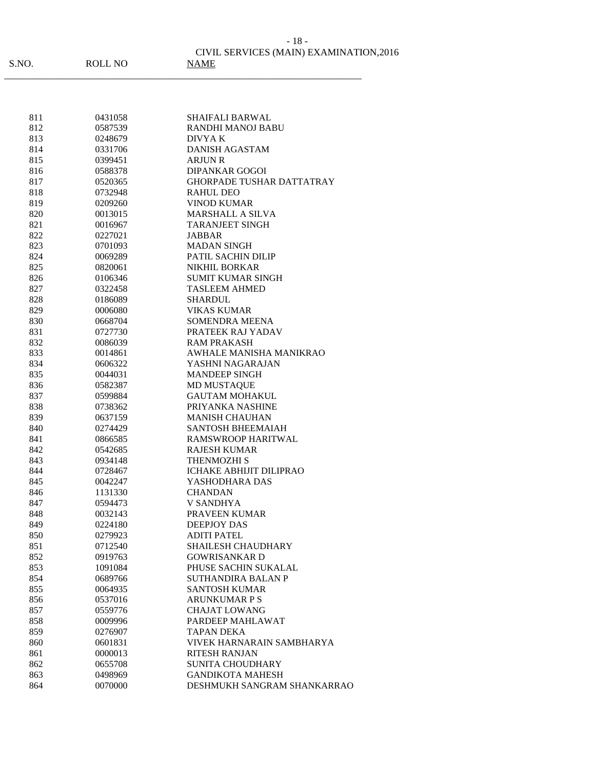| S.NO. | ROLL NO | CIVIL SERVICES (MAIN) EXAMINATION, 2016<br><b>NAME</b> |
|-------|---------|--------------------------------------------------------|
|-------|---------|--------------------------------------------------------|

| 811        | 0431058 | <b>SHAIFALI BARWAL</b>           |
|------------|---------|----------------------------------|
| 812        | 0587539 | RANDHI MANOJ BABU                |
| 813        | 0248679 | DIVYA K                          |
| 814        | 0331706 | <b>DANISH AGASTAM</b>            |
| 815        | 0399451 | <b>ARJUN R</b>                   |
| 816        | 0588378 | <b>DIPANKAR GOGOI</b>            |
| 817        | 0520365 | <b>GHORPADE TUSHAR DATTATRAY</b> |
| 818        | 0732948 | <b>RAHUL DEO</b>                 |
| 819        | 0209260 | <b>VINOD KUMAR</b>               |
| 820        | 0013015 | <b>MARSHALL A SILVA</b>          |
| 821        | 0016967 | <b>TARANJEET SINGH</b>           |
| 822        | 0227021 | JABBAR                           |
| 823        | 0701093 | <b>MADAN SINGH</b>               |
| 824        | 0069289 | PATIL SACHIN DILIP               |
| 825        | 0820061 | <b>NIKHIL BORKAR</b>             |
| 826        | 0106346 | <b>SUMIT KUMAR SINGH</b>         |
| 827        | 0322458 | <b>TASLEEM AHMED</b>             |
| 828        | 0186089 | <b>SHARDUL</b>                   |
| 829        | 0006080 | <b>VIKAS KUMAR</b>               |
| 830        | 0668704 | <b>SOMENDRA MEENA</b>            |
| 831        | 0727730 | PRATEEK RAJ YADAV                |
| 832        | 0086039 | <b>RAM PRAKASH</b>               |
| 833        | 0014861 | AWHALE MANISHA MANIKRAO          |
| 834        | 0606322 | YASHNI NAGARAJAN                 |
| 835        | 0044031 | <b>MANDEEP SINGH</b>             |
| 836        | 0582387 | <b>MD MUSTAQUE</b>               |
| 837        | 0599884 | <b>GAUTAM MOHAKUL</b>            |
| 838        | 0738362 | PRIYANKA NASHINE                 |
| 839        | 0637159 | <b>MANISH CHAUHAN</b>            |
| 840        | 0274429 | <b>SANTOSH BHEEMAIAH</b>         |
| 841        | 0866585 | RAMSWROOP HARITWAL               |
| 842        | 0542685 | <b>RAJESH KUMAR</b>              |
| 843        | 0934148 | THENMOZHI S                      |
| 844        | 0728467 | ICHAKE ABHIJIT DILIPRAO          |
| 845        | 0042247 | YASHODHARA DAS                   |
| 846        | 1131330 | <b>CHANDAN</b>                   |
| 847        | 0594473 | <b>V SANDHYA</b>                 |
| 848        | 0032143 | PRAVEEN KUMAR                    |
| 849        | 0224180 | <b>DEEPJOY DAS</b>               |
| 850        | 0279923 | <b>ADITI PATEL</b>               |
| 851        | 0712540 | SHAILESH CHAUDHARY               |
| 852        | 0919763 | <b>GOWRISANKARD</b>              |
| 853        | 1091084 | PHUSE SACHIN SUKALAL             |
| 854        | 0689766 | SUTHANDIRA BALAN P               |
| 855        | 0064935 | <b>SANTOSH KUMAR</b>             |
| 856        | 0537016 | <b>ARUNKUMAR P S</b>             |
| 857        | 0559776 | <b>CHAJAT LOWANG</b>             |
|            | 0009996 | PARDEEP MAHLAWAT                 |
| 858<br>859 | 0276907 | <b>TAPAN DEKA</b>                |
|            | 0601831 | VIVEK HARNARAIN SAMBHARYA        |
| 860        |         | <b>RITESH RANJAN</b>             |
| 861        | 0000013 | <b>SUNITA CHOUDHARY</b>          |
| 862        | 0655708 |                                  |
| 863        | 0498969 | <b>GANDIKOTA MAHESH</b>          |
| 864        | 0070000 | DESHMUKH SANGRAM SHANKARRAO      |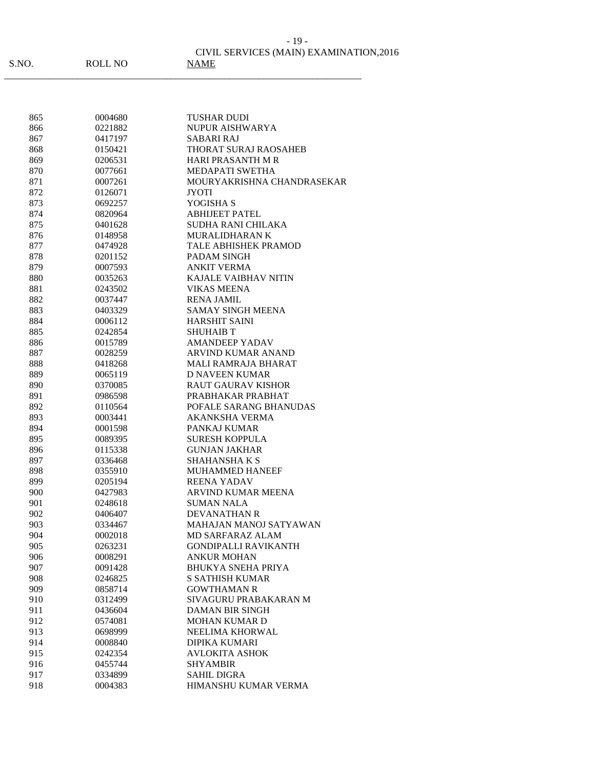CIVIL SERVICES (MAIN) EXAMINATION,2016 - 19 -

\_\_\_\_\_\_\_\_\_\_\_\_\_\_\_\_\_\_\_\_\_\_\_\_\_\_\_\_\_\_\_\_\_\_\_\_\_\_\_\_\_\_\_\_\_\_\_\_\_\_\_\_\_\_\_\_\_\_\_\_\_\_\_\_\_\_\_\_\_\_\_\_\_

| S.NO |  |
|------|--|
|------|--|

ROLL NO

| 865 | 0004680 | TUSHAR DUDI                   |
|-----|---------|-------------------------------|
| 866 | 0221882 | NUPUR AISHWARYA               |
| 867 | 0417197 | SABARI RAJ                    |
| 868 | 0150421 | THORAT SURAJ RAOSAHEB         |
| 869 | 0206531 | <b>HARI PRASANTH M R</b>      |
| 870 | 0077661 | MEDAPATI SWETHA               |
| 871 | 0007261 | MOURYAKRISHNA CHANDRASEKAR    |
| 872 | 0126071 | <b>JYOTI</b>                  |
| 873 | 0692257 | YOGISHA S                     |
| 874 | 0820964 | <b>ABHIJEET PATEL</b>         |
| 875 | 0401628 | <b>SUDHA RANI CHILAKA</b>     |
| 876 | 0148958 | <b>MURALIDHARAN K</b>         |
| 877 | 0474928 | TALE ABHISHEK PRAMOD          |
| 878 | 0201152 | PADAM SINGH                   |
| 879 | 0007593 | <b>ANKIT VERMA</b>            |
| 880 | 0035263 | <b>KAJALE VAIBHAV NITIN</b>   |
| 881 | 0243502 | <b>VIKAS MEENA</b>            |
| 882 | 0037447 | <b>RENA JAMIL</b>             |
| 883 | 0403329 | <b>SAMAY SINGH MEENA</b>      |
| 884 | 0006112 | <b>HARSHIT SAINI</b>          |
| 885 | 0242854 | <b>SHUHAIB T</b>              |
| 886 | 0015789 | <b>AMANDEEP YADAV</b>         |
| 887 | 0028259 | <b>ARVIND KUMAR ANAND</b>     |
| 888 | 0418268 | MALI RAMRAJA BHARAT           |
| 889 | 0065119 | <b>D NAVEEN KUMAR</b>         |
| 890 | 0370085 | <b>RAUT GAURAV KISHOR</b>     |
| 891 | 0986598 | PRABHAKAR PRABHAT             |
| 892 | 0110564 | POFALE SARANG BHANUDAS        |
| 893 | 0003441 | AKANKSHA VERMA                |
| 894 | 0001598 | PANKAJ KUMAR                  |
| 895 | 0089395 | SURESH KOPPULA                |
| 896 | 0115338 | <b>GUNJAN JAKHAR</b>          |
| 897 | 0336468 | <b>SHAHANSHAKS</b>            |
| 898 | 0355910 | MUHAMMED HANEEF               |
| 899 | 0205194 | REENA YADAV                   |
| 900 | 0427983 | <b>ARVIND KUMAR MEENA</b>     |
| 901 | 0248618 | <b>SUMAN NALA</b>             |
| 902 | 0406407 | <b>DEVANATHAN R</b>           |
| 903 | 0334467 | <b>MAHAJAN MANOJ SATYAWAN</b> |
| 904 | 0002018 | <b>MD SARFARAZ ALAM</b>       |
| 905 | 0263231 | <b>GONDIPALLI RAVIKANTH</b>   |
| 906 | 0008291 | <b>ANKUR MOHAN</b>            |
| 907 | 0091428 | <b>BHUKYA SNEHA PRIYA</b>     |
| 908 | 0246825 | <b>S SATHISH KUMAR</b>        |
| 909 | 0858714 | <b>GOWTHAMAN R</b>            |
| 910 | 0312499 | SIVAGURU PRABAKARAN M         |
| 911 | 0436604 | <b>DAMAN BIR SINGH</b>        |
| 912 | 0574081 | <b>MOHAN KUMAR D</b>          |
| 913 | 0698999 | NEELIMA KHORWAL               |
| 914 | 0008840 | <b>DIPIKA KUMARI</b>          |
| 915 | 0242354 | <b>AVLOKITA ASHOK</b>         |
| 916 | 0455744 | <b>SHYAMBIR</b>               |
| 917 | 0334899 | <b>SAHIL DIGRA</b>            |
| 918 | 0004383 | HIMANSHU KUMAR VERMA          |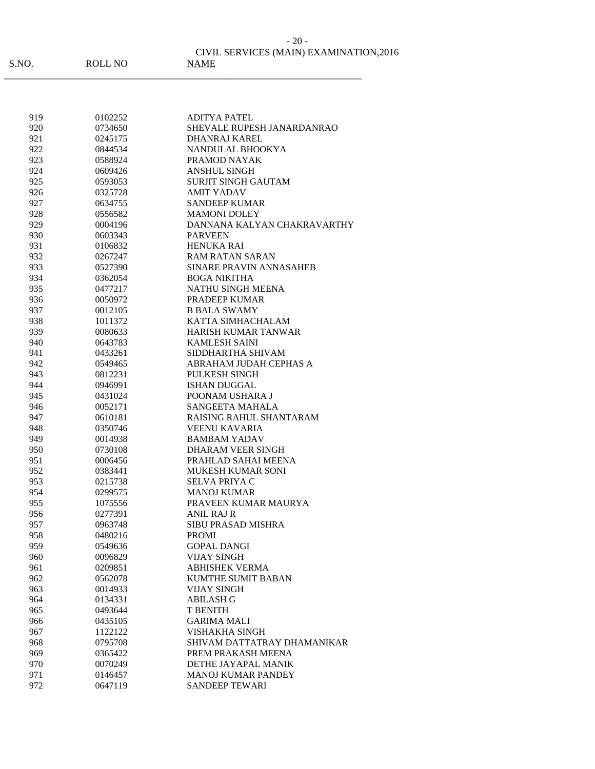|    | $-20-$                                  |
|----|-----------------------------------------|
|    | CIVIL SERVICES (MAIN) EXAMINATION, 2016 |
| NО | <b>NAME</b>                             |

| 919        | 0102252            | <b>ADITYA PATEL</b>                       |
|------------|--------------------|-------------------------------------------|
| 920        | 0734650            | SHEVALE RUPESH JANARDANRAO                |
| 921        | 0245175            | DHANRAJ KAREL                             |
| 922        | 0844534            | NANDULAL BHOOKYA                          |
| 923        | 0588924            | PRAMOD NAYAK                              |
| 924        | 0609426            | <b>ANSHUL SINGH</b>                       |
| 925        | 0593053            | SURJIT SINGH GAUTAM                       |
| 926        | 0325728            | <b>AMIT YADAV</b>                         |
| 927        | 0634755            | <b>SANDEEP KUMAR</b>                      |
| 928        | 0556582            | <b>MAMONI DOLEY</b>                       |
| 929        | 0004196            | DANNANA KALYAN CHAKRAVARTHY               |
| 930        | 0603343            | <b>PARVEEN</b>                            |
| 931        | 0106832            | <b>HENUKA RAI</b>                         |
| 932        | 0267247            | RAM RATAN SARAN                           |
| 933        | 0527390            | SINARE PRAVIN ANNASAHEB                   |
| 934        | 0362054            | <b>BOGA NIKITHA</b>                       |
| 935        | 0477217            | <b>NATHU SINGH MEENA</b>                  |
| 936        | 0050972            | <b>PRADEEP KUMAR</b>                      |
| 937        | 0012105            | <b>B BALA SWAMY</b>                       |
| 938        | 1011372            | KATTA SIMHACHALAM                         |
| 939        | 0080633            | <b>HARISH KUMAR TANWAR</b>                |
| 940        | 0643783            | <b>KAMLESH SAINI</b>                      |
| 941        | 0433261            | SIDDHARTHA SHIVAM                         |
| 942        | 0549465            | ABRAHAM JUDAH CEPHAS A                    |
| 943        | 0812231            | <b>PULKESH SINGH</b>                      |
| 944        | 0946991            | <b>ISHAN DUGGAL</b>                       |
| 945        | 0431024            | POONAM USHARA J                           |
| 946        | 0052171            | <b>SANGEETA MAHALA</b>                    |
| 947        | 0610181            | RAISING RAHUL SHANTARAM                   |
| 948        | 0350746            | <b>VEENU KAVARIA</b>                      |
| 949        | 0014938            | <b>BAMBAM YADAV</b>                       |
| 950        | 0730108            | DHARAM VEER SINGH                         |
| 951        | 0006456            | PRAHLAD SAHAI MEENA                       |
| 952        | 0383441            | <b>MUKESH KUMAR SONI</b>                  |
| 953        | 0215738            | <b>SELVA PRIYA C</b>                      |
| 954        | 0299575            | <b>MANOJ KUMAR</b>                        |
| 955        | 1075556            | PRAVEEN KUMAR MAURYA                      |
| 956        | 0277391            | ANIL RAJ R                                |
| 957        | 0963748            | <b>SIBU PRASAD MISHRA</b>                 |
| 958        | 0480216            | <b>PROMI</b>                              |
| 959        | 0549636            | <b>GOPAL DANGI</b>                        |
| 960        | 0096829            | <b>VIJAY SINGH</b>                        |
| 961        | 0209851            | <b>ABHISHEK VERMA</b>                     |
|            | 0562078            | <b>KUMTHE SUMIT BABAN</b>                 |
| 962<br>963 | 0014933            | <b>VIJAY SINGH</b>                        |
| 964        | 0134331            | <b>ABILASH G</b>                          |
|            |                    |                                           |
| 965        | 0493644            | <b>T BENITH</b>                           |
| 966        | 0435105<br>1122122 | <b>GARIMA MALI</b>                        |
| 967        |                    | VISHAKHA SINGH                            |
| 968        | 0795708            | SHIVAM DATTATRAY DHAMANIKAR               |
| 969        | 0365422            | PREM PRAKASH MEENA<br>DETHE JAYAPAL MANIK |
| 970        | 0070249            |                                           |
| 971        | 0146457            | <b>MANOJ KUMAR PANDEY</b>                 |
| 972        | 0647119            | <b>SANDEEP TEWARI</b>                     |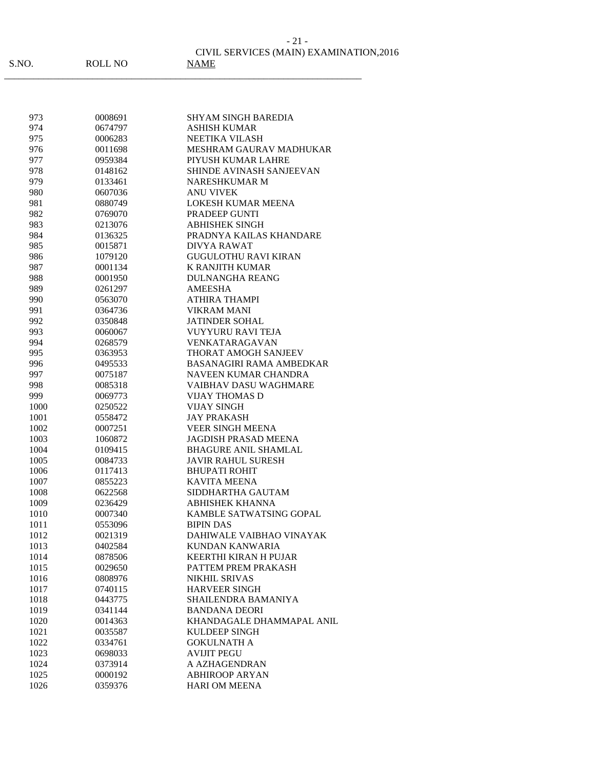\_\_\_\_\_\_\_\_\_\_\_\_\_\_\_\_\_\_\_\_\_\_\_\_\_\_\_\_\_\_\_\_\_\_\_\_\_\_\_\_\_\_\_\_\_\_\_\_\_\_\_\_\_\_\_\_\_\_\_\_\_\_\_\_\_\_\_\_\_\_\_\_\_

| 973  | 0008691 | SHYAM SINGH BAREDIA             |
|------|---------|---------------------------------|
| 974  | 0674797 | <b>ASHISH KUMAR</b>             |
| 975  | 0006283 | NEETIKA VILASH                  |
| 976  | 0011698 | MESHRAM GAURAV MADHUKAR         |
| 977  | 0959384 | PIYUSH KUMAR LAHRE              |
| 978  | 0148162 | <b>SHINDE AVINASH SANJEEVAN</b> |
| 979  | 0133461 | <b>NARESHKUMAR M</b>            |
| 980  | 0607036 | <b>ANU VIVEK</b>                |
| 981  | 0880749 | LOKESH KUMAR MEENA              |
| 982  | 0769070 | PRADEEP GUNTI                   |
| 983  | 0213076 | <b>ABHISHEK SINGH</b>           |
| 984  | 0136325 | PRADNYA KAILAS KHANDARE         |
| 985  | 0015871 | <b>DIVYA RAWAT</b>              |
| 986  | 1079120 | <b>GUGULOTHU RAVI KIRAN</b>     |
| 987  | 0001134 | <b>K RANJITH KUMAR</b>          |
| 988  | 0001950 | <b>DULNANGHA REANG</b>          |
| 989  | 0261297 | <b>AMEESHA</b>                  |
| 990  | 0563070 | <b>ATHIRA THAMPI</b>            |
| 991  | 0364736 | <b>VIKRAM MANI</b>              |
| 992  | 0350848 | <b>JATINDER SOHAL</b>           |
| 993  | 0060067 | <b>VUYYURU RAVI TEJA</b>        |
| 994  | 0268579 | <b>VENKATARAGAVAN</b>           |
| 995  | 0363953 | THORAT AMOGH SANJEEV            |
| 996  | 0495533 | <b>BASANAGIRI RAMA AMBEDKAR</b> |
| 997  | 0075187 | NAVEEN KUMAR CHANDRA            |
| 998  | 0085318 | <b>VAIBHAV DASU WAGHMARE</b>    |
| 999  | 0069773 | <b>VIJAY THOMAS D</b>           |
| 1000 | 0250522 | <b>VIJAY SINGH</b>              |
| 1001 | 0558472 | <b>JAY PRAKASH</b>              |
| 1002 | 0007251 | <b>VEER SINGH MEENA</b>         |
| 1003 | 1060872 | <b>JAGDISH PRASAD MEENA</b>     |
| 1004 | 0109415 | <b>BHAGURE ANIL SHAMLAL</b>     |
| 1005 | 0084733 | <b>JAVIR RAHUL SURESH</b>       |
| 1006 | 0117413 | <b>BHUPATI ROHIT</b>            |
| 1007 | 0855223 | <b>KAVITA MEENA</b>             |
| 1008 | 0622568 | SIDDHARTHA GAUTAM               |
| 1009 | 0236429 | <b>ABHISHEK KHANNA</b>          |
| 1010 | 0007340 | KAMBLE SATWATSING GOPAL         |
| 1011 | 0553096 | <b>BIPIN DAS</b>                |
| 1012 | 0021319 | DAHIWALE VAIBHAO VINAYAK        |
| 1013 | 0402584 | <b>KUNDAN KANWARIA</b>          |
| 1014 | 0878506 | <b>KEERTHI KIRAN H PUJAR</b>    |
| 1015 | 0029650 | PATTEM PREM PRAKASH             |
| 1016 | 0808976 | <b>NIKHIL SRIVAS</b>            |
| 1017 | 0740115 | <b>HARVEER SINGH</b>            |
| 1018 | 0443775 | SHAILENDRA BAMANIYA             |
| 1019 | 0341144 | <b>BANDANA DEORI</b>            |
| 1020 | 0014363 | KHANDAGALE DHAMMAPAL ANIL       |
| 1021 | 0035587 | KULDEEP SINGH                   |
| 1022 | 0334761 | <b>GOKULNATH A</b>              |
| 1023 | 0698033 | <b>AVIJIT PEGU</b>              |
| 1024 | 0373914 | A AZHAGENDRAN                   |
| 1025 | 0000192 | <b>ABHIROOP ARYAN</b>           |
| 1026 | 0359376 | <b>HARI OM MEENA</b>            |
|      |         |                                 |

- 21 -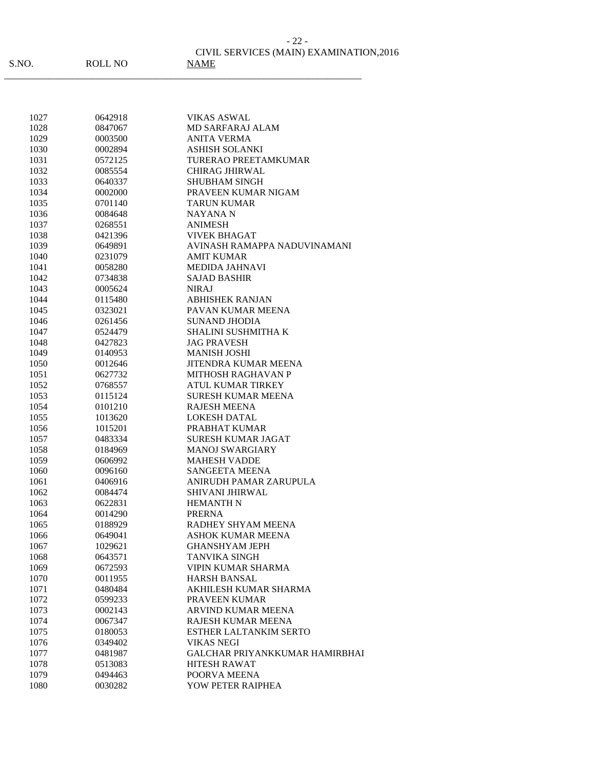CIVIL SERVICES (MAIN) EXAMINATION,2016 - 22 -

\_\_\_\_\_\_\_\_\_\_\_\_\_\_\_\_\_\_\_\_\_\_\_\_\_\_\_\_\_\_\_\_\_\_\_\_\_\_\_\_\_\_\_\_\_\_\_\_\_\_\_\_\_\_\_\_\_\_\_\_\_\_\_\_\_\_\_\_\_\_\_\_\_

ROLL NO NAME

| 1027 | 0642918 | VIKAS ASWAL                           |
|------|---------|---------------------------------------|
| 1028 | 0847067 | <b>MD SARFARAJ ALAM</b>               |
| 1029 | 0003500 | ANITA VERMA                           |
| 1030 | 0002894 | <b>ASHISH SOLANKI</b>                 |
| 1031 | 0572125 | TURERAO PREETAMKUMAR                  |
| 1032 | 0085554 | <b>CHIRAG JHIRWAL</b>                 |
| 1033 | 0640337 | <b>SHUBHAM SINGH</b>                  |
| 1034 | 0002000 | PRAVEEN KUMAR NIGAM                   |
| 1035 | 0701140 | <b>TARUN KUMAR</b>                    |
| 1036 | 0084648 | NAYANA N                              |
| 1037 | 0268551 | <b>ANIMESH</b>                        |
| 1038 | 0421396 | VIVEK BHAGAT                          |
| 1039 | 0649891 | AVINASH RAMAPPA NADUVINAMANI          |
| 1040 | 0231079 | AMIT KUMAR                            |
| 1041 | 0058280 | MEDIDA JAHNAVI                        |
| 1042 | 0734838 | <b>SAJAD BASHIR</b>                   |
| 1043 | 0005624 | <b>NIRAJ</b>                          |
| 1044 | 0115480 | <b>ABHISHEK RANJAN</b>                |
| 1045 | 0323021 | PAVAN KUMAR MEENA                     |
| 1046 | 0261456 | SUNAND JHODIA                         |
| 1047 | 0524479 | <b>SHALINI SUSHMITHA K</b>            |
| 1048 | 0427823 | <b>JAG PRAVESH</b>                    |
| 1049 | 0140953 | <b>MANISH JOSHI</b>                   |
| 1050 | 0012646 | <b>JITENDRA KUMAR MEENA</b>           |
| 1051 | 0627732 | <b>MITHOSH RAGHAVAN P</b>             |
| 1052 | 0768557 | <b>ATUL KUMAR TIRKEY</b>              |
| 1053 | 0115124 | <b>SURESH KUMAR MEENA</b>             |
| 1054 | 0101210 | <b>RAJESH MEENA</b>                   |
| 1055 | 1013620 | <b>LOKESH DATAL</b>                   |
| 1056 | 1015201 | PRABHAT KUMAR                         |
| 1057 | 0483334 | <b>SURESH KUMAR JAGAT</b>             |
| 1058 | 0184969 | <b>MANOJ SWARGIARY</b>                |
| 1059 | 0606992 | <b>MAHESH VADDE</b>                   |
| 1060 | 0096160 | <b>SANGEETA MEENA</b>                 |
| 1061 | 0406916 | ANIRUDH PAMAR ZARUPULA                |
| 1062 | 0084474 | SHIVANI JHIRWAL                       |
| 1063 | 0622831 | <b>HEMANTH N</b>                      |
| 1064 | 0014290 | <b>PRERNA</b>                         |
| 1065 | 0188929 | RADHEY SHYAM MEENA                    |
| 1066 | 0649041 | <b>ASHOK KUMAR MEENA</b>              |
| 1067 | 1029621 | <b>GHANSHYAM JEPH</b>                 |
| 1068 | 0643571 | <b>TANVIKA SINGH</b>                  |
|      | 0672593 | VIPIN KUMAR SHARMA                    |
| 1069 |         |                                       |
| 1070 | 0011955 | <b>HARSH BANSAL</b>                   |
| 1071 | 0480484 | AKHILESH KUMAR SHARMA                 |
| 1072 | 0599233 | PRAVEEN KUMAR                         |
| 1073 | 0002143 | ARVIND KUMAR MEENA                    |
| 1074 | 0067347 | RAJESH KUMAR MEENA                    |
| 1075 | 0180053 | ESTHER LALTANKIM SERTO                |
| 1076 | 0349402 | <b>VIKAS NEGI</b>                     |
| 1077 | 0481987 | <b>GALCHAR PRIYANKKUMAR HAMIRBHAI</b> |
| 1078 | 0513083 | <b>HITESH RAWAT</b>                   |
| 1079 | 0494463 | POORVA MEENA                          |
| 1080 | 0030282 | YOW PETER RAIPHEA                     |